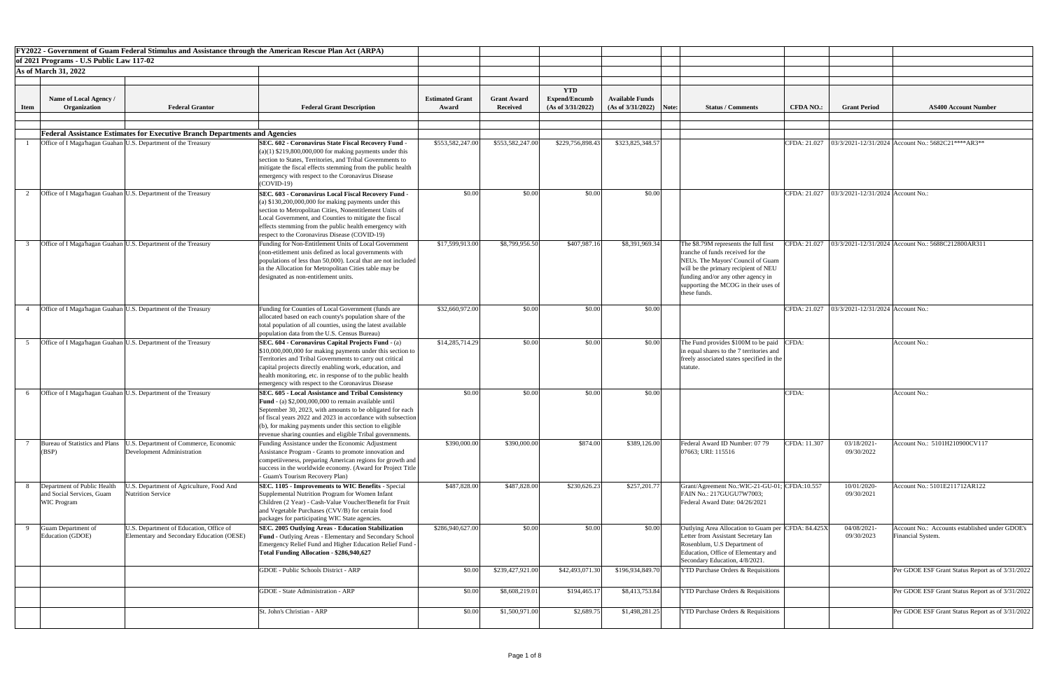|             |                                                                                |                                                                                      | FY2022 - Government of Guam Federal Stimulus and Assistance through the American Rescue Plan Act (ARPA)                                                                                                                                                                                                                                                                     |                                 |                                       |                                                         |                                             |       |                                                                                                                                                                                                                                                                                                                              |  |
|-------------|--------------------------------------------------------------------------------|--------------------------------------------------------------------------------------|-----------------------------------------------------------------------------------------------------------------------------------------------------------------------------------------------------------------------------------------------------------------------------------------------------------------------------------------------------------------------------|---------------------------------|---------------------------------------|---------------------------------------------------------|---------------------------------------------|-------|------------------------------------------------------------------------------------------------------------------------------------------------------------------------------------------------------------------------------------------------------------------------------------------------------------------------------|--|
|             | of 2021 Programs - U.S Public Law 117-02                                       |                                                                                      |                                                                                                                                                                                                                                                                                                                                                                             |                                 |                                       |                                                         |                                             |       |                                                                                                                                                                                                                                                                                                                              |  |
|             | <b>As of March 31, 2022</b>                                                    |                                                                                      |                                                                                                                                                                                                                                                                                                                                                                             |                                 |                                       |                                                         |                                             |       |                                                                                                                                                                                                                                                                                                                              |  |
|             |                                                                                |                                                                                      |                                                                                                                                                                                                                                                                                                                                                                             |                                 |                                       |                                                         |                                             |       |                                                                                                                                                                                                                                                                                                                              |  |
| <b>Item</b> | <b>Name of Local Agency /</b><br>Organization                                  | <b>Federal Grantor</b>                                                               | <b>Federal Grant Description</b>                                                                                                                                                                                                                                                                                                                                            | <b>Estimated Grant</b><br>Award | <b>Grant Award</b><br><b>Received</b> | <b>YTD</b><br><b>Expend/Encumb</b><br>(As of 3/31/2022) | <b>Available Funds</b><br>(As of 3/31/2022) | Note: | <b>Grant Period</b><br><b>Status / Comments</b><br><b>AS400 Account Number</b><br><b>CFDA NO.:</b>                                                                                                                                                                                                                           |  |
|             |                                                                                |                                                                                      |                                                                                                                                                                                                                                                                                                                                                                             |                                 |                                       |                                                         |                                             |       |                                                                                                                                                                                                                                                                                                                              |  |
|             |                                                                                | <b>Federal Assistance Estimates for Executive Branch Departments and Agencies</b>    |                                                                                                                                                                                                                                                                                                                                                                             |                                 |                                       |                                                         |                                             |       |                                                                                                                                                                                                                                                                                                                              |  |
|             |                                                                                | Office of I Maga'hagan Guahan U.S. Department of the Treasury                        | <b>SEC. 602 - Coronavirus State Fiscal Recovery Fund</b><br>$(a)(1)$ \$219,800,000,000 for making payments under this<br>section to States, Territories, and Tribal Governments to<br>mitigate the fiscal effects stemming from the public health<br>emergency with respect to the Coronavirus Disease                                                                      | \$553,582,247.00                | \$553,582,247.00                      | \$229,756,898.43                                        | \$323,825,348.57                            |       | CFDA: 21.027   03/3/2021-12/31/2024   Account No.: 5682C21****AR3**                                                                                                                                                                                                                                                          |  |
|             |                                                                                | Office of I Maga hagan Guahan U.S. Department of the Treasury                        | $\text{COVID-19}$<br>SEC. 603 - Coronavirus Local Fiscal Recovery Fund -<br>(a) $$130,200,000,000$ for making payments under this<br>section to Metropolitan Cities, Nonentitlement Units of<br>Local Government, and Counties to mitigate the fiscal<br>effects stemming from the public health emergency with<br>respect to the Coronavirus Disease (COVID-19)            | \$0.00                          | \$0.00                                | \$0.00                                                  | \$0.00                                      |       | CFDA: 21.027   03/3/2021-12/31/2024   Account No.:                                                                                                                                                                                                                                                                           |  |
|             |                                                                                | Office of I Maga'hagan Guahan U.S. Department of the Treasury                        | Funding for Non-Entitlement Units of Local Government<br>(non-etitlement unis defined as local governments with<br>populations of less than 50,000). Local that are not included<br>in the Allocation for Metropolitan Cities table may be<br>designated as non-entitlement units.                                                                                          | \$17,599,913.00                 | \$8,799,956.50                        | \$407,987.16                                            | \$8,391,969.34                              |       | CFDA: 21.027   03/3/2021-12/31/2024   Account No.: 5688C212800AR311<br>The \$8.79M represents the full first<br>tranche of funds received for the<br>NEUs. The Mayors' Council of Guam<br>will be the primary recipient of NEU<br>funding and/or any other agency in<br>supporting the MCOG in their uses of<br>these funds. |  |
|             |                                                                                | Office of I Maga hagan Guahan U.S. Department of the Treasury                        | Funding for Counties of Local Government (funds are<br>allocated based on each county's population share of the<br>total population of all counties, using the latest available<br>population data from the U.S. Census Bureau)                                                                                                                                             | \$32,660,972.00                 | \$0.00                                | \$0.00                                                  | \$0.00                                      |       | CFDA: 21.027   03/3/2021-12/31/2024   Account No.:                                                                                                                                                                                                                                                                           |  |
|             |                                                                                | Office of I Maga hagan Guahan U.S. Department of the Treasury                        | SEC. 604 - Coronavirus Capital Projects Fund - (a)<br>$\vert$ \$10,000,000,000 for making payments under this section to $\vert$<br>Territories and Tribal Governments to carry out critical<br>capital projects directly enabling work, education, and<br>realth monitoring, etc. in response of to the public health<br>emergency with respect to the Coronavirus Disease | \$14,285,714.29                 | \$0.00                                | \$0.00                                                  | \$0.00                                      |       | The Fund provides \$100M to be paid CFDA:<br>Account No.:<br>in equal shares to the 7 territories and<br>freely associated states specified in the<br>statute                                                                                                                                                                |  |
|             |                                                                                | Office of I Maga hagan Guahan U.S. Department of the Treasury                        | SEC. 605 - Local Assistance and Tribal Consistency<br><b>Fund</b> - (a) $$2,000,000,000$ to remain available until<br>September 30, 2023, with amounts to be obligated for each<br>f fiscal years 2022 and 2023 in accordance with subsection<br>(b), for making payments under this section to eligible<br>revenue sharing counties and eligible Tribal governments.       | \$0.00                          | \$0.00                                | \$0.00                                                  | \$0.00                                      |       | CFDA:<br>Account No.:                                                                                                                                                                                                                                                                                                        |  |
|             | Bureau of Statistics and Plans<br>(BSP)                                        | U.S. Department of Commerce, Economic<br>Development Administration                  | Funding Assistance under the Economic Adjustment<br>Assistance Program - Grants to promote innovation and<br>competiiveness, preparing American regions for growth and<br>success in the worldwide economy. (Award for Project Title<br>Guam's Tourism Recovery Plan)                                                                                                       | \$390,000.00                    | \$390,000.00                          | \$874.00                                                | \$389,126.00                                |       | Federal Award ID Number: 07 79<br>CFDA: 11.307<br>03/18/2021-<br>Account No.: 5101H210900CV117<br>07663; URI: 115516<br>09/30/2022                                                                                                                                                                                           |  |
|             | Department of Public Health<br>and Social Services, Guam<br><b>WIC Program</b> | U.S. Department of Agriculture, Food And<br><b>Nutrition Service</b>                 | <b>SEC. 1105 - Improvements to WIC Benefits - Special</b><br>Supplemental Nutrition Program for Women Infant<br>Children (2 Year) - Cash-Value Voucher/Benefit for Fruit<br>and Vegetable Purchases (CVV/B) for certain food<br>packages for participating WIC State agencies.                                                                                              | \$487,828.00                    | \$487,828.00                          | \$230,626.23                                            | \$257,201.77                                |       | Grant/Agreement No.:WIC-21-GU-01; CFDA:10.557<br>10/01/2020-<br>Account No.: 5101E211712AR122<br>FAIN No.: 217GUGU7W7003;<br>09/30/2021<br>Federal Award Date: 04/26/2021                                                                                                                                                    |  |
| $\Omega$    | Guam Department of<br>Education (GDOE)                                         | U.S. Department of Education, Office of<br>Elementary and Secondary Education (OESE) | <b>SEC. 2005 Outlying Areas - Education Stabilization</b><br><b>Fund - Outlying Areas - Elementary and Secondary School</b><br>Emergency Relief Fund and Higher Education Relief Fund -<br>Total Funding Allocation - \$286,940,627                                                                                                                                         | \$286,940,627.00                | \$0.00                                | \$0.00                                                  | \$0.00                                      |       | Outlying Area Allocation to Guam per CFDA: 84.425X<br>04/08/2021-<br>Account No.: Accounts established under GDOE's<br>Financial System.<br>09/30/2023<br>Letter from Assistant Secretary Ian<br>Rosenblum, U.S Department of<br>Education, Office of Elementary and<br>Secondary Education, 4/8/2021.                       |  |
|             |                                                                                |                                                                                      | <b>GDOE</b> - Public Schools District - ARP                                                                                                                                                                                                                                                                                                                                 | \$0.00                          | \$239,427,921.00                      | \$42,493,071.30                                         | \$196,934,849.70                            |       | Per GDOE ESF Grant Status Report as of 3/31/2022<br><b>YTD Purchase Orders &amp; Requisitions</b>                                                                                                                                                                                                                            |  |
|             |                                                                                |                                                                                      | <b>GDOE</b> - State Administration - ARP                                                                                                                                                                                                                                                                                                                                    | \$0.00                          | \$8,608,219.01                        | \$194,465.17                                            | \$8,413,753.84                              |       | Per GDOE ESF Grant Status Report as of 3/31/2022<br><b>YTD Purchase Orders &amp; Requisitions</b>                                                                                                                                                                                                                            |  |
|             |                                                                                |                                                                                      | St. John's Christian - ARP                                                                                                                                                                                                                                                                                                                                                  | \$0.00                          | \$1,500,971.00                        | \$2,689.75                                              | \$1,498,281.25                              |       | Per GDOE ESF Grant Status Report as of 3/31/2022<br><b>YTD Purchase Orders &amp; Requisitions</b>                                                                                                                                                                                                                            |  |

| nt Number                  |
|----------------------------|
|                            |
|                            |
|                            |
|                            |
| AR3 **                     |
|                            |
|                            |
|                            |
|                            |
|                            |
|                            |
|                            |
|                            |
|                            |
|                            |
|                            |
| $\overline{AR}311$         |
|                            |
|                            |
|                            |
|                            |
|                            |
|                            |
|                            |
|                            |
|                            |
|                            |
|                            |
|                            |
|                            |
|                            |
|                            |
|                            |
|                            |
|                            |
|                            |
|                            |
|                            |
|                            |
|                            |
| 0CV117                     |
|                            |
|                            |
|                            |
|                            |
| 2AR122                     |
|                            |
|                            |
|                            |
|                            |
| ablished under GDOE's      |
|                            |
|                            |
|                            |
|                            |
| s Report as of 3/31/2022   |
|                            |
|                            |
| s Report as of $3/31/2022$ |
|                            |
| s Report as of $3/31/2022$ |
|                            |
|                            |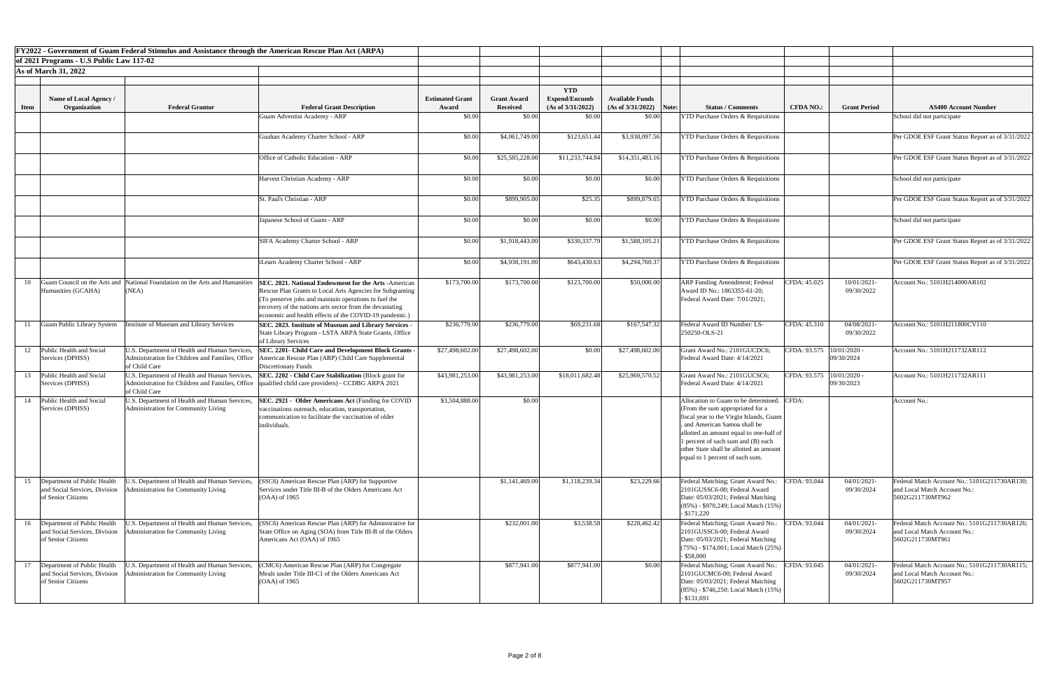|             |                                                                                       | <b>FY2022 - Government of Guam Federal Stimulus and Assistance through the American Rescue Plan Act (ARPA)</b> |                                                                                                                                                                                                                                                                                                                      |                        |                    |                                    |                        |       |                                                                                                                                                                                                                                                                                                                  |                             |                           |                                                                                                  |
|-------------|---------------------------------------------------------------------------------------|----------------------------------------------------------------------------------------------------------------|----------------------------------------------------------------------------------------------------------------------------------------------------------------------------------------------------------------------------------------------------------------------------------------------------------------------|------------------------|--------------------|------------------------------------|------------------------|-------|------------------------------------------------------------------------------------------------------------------------------------------------------------------------------------------------------------------------------------------------------------------------------------------------------------------|-----------------------------|---------------------------|--------------------------------------------------------------------------------------------------|
|             | of 2021 Programs - U.S Public Law 117-02                                              |                                                                                                                |                                                                                                                                                                                                                                                                                                                      |                        |                    |                                    |                        |       |                                                                                                                                                                                                                                                                                                                  |                             |                           |                                                                                                  |
|             | <b>As of March 31, 2022</b>                                                           |                                                                                                                |                                                                                                                                                                                                                                                                                                                      |                        |                    |                                    |                        |       |                                                                                                                                                                                                                                                                                                                  |                             |                           |                                                                                                  |
|             |                                                                                       |                                                                                                                |                                                                                                                                                                                                                                                                                                                      |                        |                    |                                    |                        |       |                                                                                                                                                                                                                                                                                                                  |                             |                           |                                                                                                  |
|             | <b>Name of Local Agency /</b>                                                         |                                                                                                                |                                                                                                                                                                                                                                                                                                                      | <b>Estimated Grant</b> | <b>Grant Award</b> | <b>YTD</b><br><b>Expend/Encumb</b> | <b>Available Funds</b> |       |                                                                                                                                                                                                                                                                                                                  |                             |                           |                                                                                                  |
| <b>Item</b> | Organization                                                                          | <b>Federal Grantor</b>                                                                                         | <b>Federal Grant Description</b>                                                                                                                                                                                                                                                                                     | Award                  | <b>Received</b>    | (As of 3/31/2022)                  | (As of 3/31/2022)      | Note: | <b>Status / Comments</b>                                                                                                                                                                                                                                                                                         | <b>CFDA NO.:</b>            | <b>Grant Period</b>       | <b>AS400 Account Number</b>                                                                      |
|             |                                                                                       |                                                                                                                | <b>Guam Adventist Academy - ARP</b>                                                                                                                                                                                                                                                                                  | \$0.00                 | \$0.00             | \$0.00                             | \$0.00                 |       | <b>YTD Purchase Orders &amp; Requisitions</b>                                                                                                                                                                                                                                                                    |                             |                           | School did not participate                                                                       |
|             |                                                                                       |                                                                                                                |                                                                                                                                                                                                                                                                                                                      |                        |                    |                                    |                        |       |                                                                                                                                                                                                                                                                                                                  |                             |                           |                                                                                                  |
|             |                                                                                       |                                                                                                                | Guahan Academy Charter School - ARP                                                                                                                                                                                                                                                                                  | \$0.00                 | \$4,061,749.00     | \$123,651.44                       | \$3,938,097.56         |       | <b>YTD Purchase Orders &amp; Requisitions</b>                                                                                                                                                                                                                                                                    |                             |                           | Per GDOE ESF Grant Status Report as of 3/31/2022                                                 |
|             |                                                                                       |                                                                                                                | <b>Office of Catholic Education - ARP</b>                                                                                                                                                                                                                                                                            | \$0.00                 | \$25,585,228.00    | \$11,233,744.84                    | \$14,351,483.16        |       | <b>YTD Purchase Orders &amp; Requisitions</b>                                                                                                                                                                                                                                                                    |                             |                           | Per GDOE ESF Grant Status Report as of 3/31/2022                                                 |
|             |                                                                                       |                                                                                                                | Harvest Christian Academy - ARP                                                                                                                                                                                                                                                                                      | \$0.00                 | \$0.00             | \$0.00                             | \$0.00                 |       | <b>YTD Purchase Orders &amp; Requisitions</b>                                                                                                                                                                                                                                                                    |                             |                           | School did not participate                                                                       |
|             |                                                                                       |                                                                                                                | St. Paul's Christian - ARP                                                                                                                                                                                                                                                                                           | \$0.00                 | \$899,905.00       | \$25.35                            | \$899,879.65           |       | <b>YTD Purchase Orders &amp; Requisitions</b>                                                                                                                                                                                                                                                                    |                             |                           | Per GDOE ESF Grant Status Report as of 3/31/2022                                                 |
|             |                                                                                       |                                                                                                                | Japanese School of Guam - ARP                                                                                                                                                                                                                                                                                        | \$0.00                 | \$0.00             | \$0.00                             | \$0.00                 |       | <b>YTD Purchase Orders &amp; Requisitions</b>                                                                                                                                                                                                                                                                    |                             |                           | School did not participate                                                                       |
|             |                                                                                       |                                                                                                                | SIFA Academy Charter School - ARP                                                                                                                                                                                                                                                                                    | \$0.00                 | \$1,918,443.00     | \$330,337.79                       | \$1,588,105.21         |       | <b>YTD Purchase Orders &amp; Requisitions</b>                                                                                                                                                                                                                                                                    |                             |                           | Per GDOE ESF Grant Status Report as of 3/31/2022                                                 |
|             |                                                                                       |                                                                                                                | iLearn Academy Charter School - ARP                                                                                                                                                                                                                                                                                  | \$0.00                 | \$4,938,191.00     | \$643,430.63                       | \$4,294,760.37         |       | <b>YTD Purchase Orders &amp; Requisitions</b>                                                                                                                                                                                                                                                                    |                             |                           | Per GDOE ESF Grant Status Report as of 3/31/2022                                                 |
|             | Humanities (GCAHA)                                                                    | (NEA)                                                                                                          | 10 Guam Council on the Arts and National Foundation on the Arts and Humanities SEC. 2021. National Endowment for the Arts -American<br>Rescue Plan Grants to Local Arts Agencies for Subgranting<br>To preserve jobs and maintain operations to fuel the<br>recovery of the nations arts sector from the devastating | \$173,700.00           | \$173,700.00       | \$123,700.00                       | \$50,000.00            |       | <b>ARP Funding Amendment; Federal</b><br>Award ID No.: 1863355-61-20;<br>Federal Award Date: 7/01/2021;                                                                                                                                                                                                          | CFDA: 45.025                | 10/01/2021-<br>09/30/2022 | Account No.: 5101H214000AR102                                                                    |
|             | <b>Guam Public Library System</b>                                                     | Institute of Museum and Library Services                                                                       | economic and health effects of the COVID-19 pandemic.)<br>SEC. 2023. Institute of Museum and Library Services -<br>State Library Program - LSTA ARPA State Grants, Office<br>of Library Services                                                                                                                     | \$236,779.00           | \$236,779.00       | \$69,231.68                        | \$167,547.32           |       | Federal Award ID Number: LS-<br>250250-OLS-21                                                                                                                                                                                                                                                                    | CFDA: 45.310                | 04/08/2021-<br>09/30/2022 | Account No.: 5101H211800CV110                                                                    |
|             | Public Health and Social<br>Services (DPHSS)                                          | U.S. Department of Health and Human Services,<br>of Child Care                                                 | <b>SEC. 2201- Child Care and Development Block Grants -</b><br>Administration for Children and Families, Office   American Rescue Plan (ARP) Child Care Supplemental<br>Discretionary Funds                                                                                                                          | \$27,498,602.00        | \$27,498,602.00    | \$0.00                             | \$27,498,602.00        |       | Grant Award No.: 2101GUCDC6;<br>Federal Award Date: 4/14/2021                                                                                                                                                                                                                                                    | CFDA: 93.575   10/01/2020 - | 09/30/2024                | Account No.: 5101H211732AR112                                                                    |
| 13          | Public Health and Social<br>Services (DPHSS)                                          | U.S. Department of Health and Human Services,<br>of Child Care                                                 | <b>SEC. 2202 - Child Care Stabilization (Block grant for</b><br>Administration for Children and Families, Office  qualified child care providers) - CCDBG ARPA 2021                                                                                                                                                  | \$43,981,253.00        | \$43,981,253.00    | \$18,011,682.48                    | \$25,969,570.52        |       | Grant Award No.: 2101GUCSC6;<br>Federal Award Date: 4/14/2021                                                                                                                                                                                                                                                    | CFDA: 93.575  10/01/2020 -  | 09/30/2023                | Account No.: 5101H211732AR111                                                                    |
| 14          | Public Health and Social<br>Services (DPHSS)                                          | U.S. Department of Health and Human Services,<br>Administration for Community Living                           | <b>SEC. 2921 - Older Americans Act (Funding for COVID)</b><br>vaccinations outreach, education, transportation,<br>communication to facilitate the vaccination of older<br>individuals.                                                                                                                              | \$3,504,888.00         | \$0.00             |                                    |                        |       | Allocation to Guam to be determined.<br>(From the sum appropriated for a<br>fiscal year to the Virgin Islands, Guam<br>and American Samoa shall be<br>allotted an amount equal to one-half of<br>1 percent of such sum and (B) each<br>other State shall be allotted an amoun<br>equal to 1 percent of such sum. | CFDA:                       |                           | Account No.:                                                                                     |
|             | 15 Department of Public Health<br>and Social Services, Division<br>of Senior Citizens | J.S. Department of Health and Human Services,<br>dministration for Community Living                            | SSC6) American Rescue Plan (ARP) for Supportive<br>Services under Title III-B of the Olders Americans Act<br>$(OAA)$ of 1965                                                                                                                                                                                         |                        | \$1,141,469.00     | \$1,118,239.34                     | \$23,229.66            |       | Federal Matching; Grant Award No.:<br>2101GUSSC6-00; Federal Award<br>Date: 05/03/2021; Federal Matching<br>$(85\%)$ - \$970,249; Local Match $(15\%)$<br>$-$ \$171,220                                                                                                                                          | CFDA: 93.044                | 04/01/2021-<br>09/30/2024 | Federal Match Account No.: 5101G211730AR130;<br>and Local Match Account No.:<br>5602G211730MT962 |
|             | 16 Department of Public Health<br>of Senior Citizens                                  | and Social Services, Division Administration for Community Living                                              | U.S. Department of Health and Human Services, (SSC6) American Rescue Plan (ARP) for Adminstrative for<br>State Office on Aging (SOA) from Title III-B of the Olders<br>Americans Act (OAA) of 1965                                                                                                                   |                        | \$232,001.00       | \$3,538.58                         | \$228,462.42           |       | Federal Matching; Grant Award No.:<br>2101GUSSC6-00; Federal Award<br>Date: 05/03/2021; Federal Matching<br>$(75\%)$ - \$174,001; Local Match $(25\%)$<br>$-$ \$58,000                                                                                                                                           | CFDA: 93.044                | 04/01/2021-<br>09/30/2024 | Federal Match Account No.: 5101G211730AR126;<br>and Local Match Account No.:<br>5602G211730MT961 |
| 17          | Department of Public Health<br>and Social Services, Division<br>of Senior Citizens    | J.S. Department of Health and Human Services,<br><b>Administration for Community Living</b>                    | CMC6) American Rescue Plan (ARP) for Congregate<br>Meals under Title III-C1 of the Olders Americans Act<br>$(OAA)$ of 1965                                                                                                                                                                                           |                        | \$877,941.00       | \$877,941.00                       | \$0.00                 |       | Federal Matching; Grant Award No.:<br>2101GUCMC6-00; Federal Award<br>Date: 05/03/2021; Federal Matching<br>$(85\%)$ - \$746,250; Local Match $(15\%)$<br>$-$ \$131,691                                                                                                                                          | CFDA: 93.045                | 04/01/2021-<br>09/30/2024 | Federal Match Account No.: 5101G211730AR115;<br>and Local Match Account No.:<br>5602G211730MT957 |

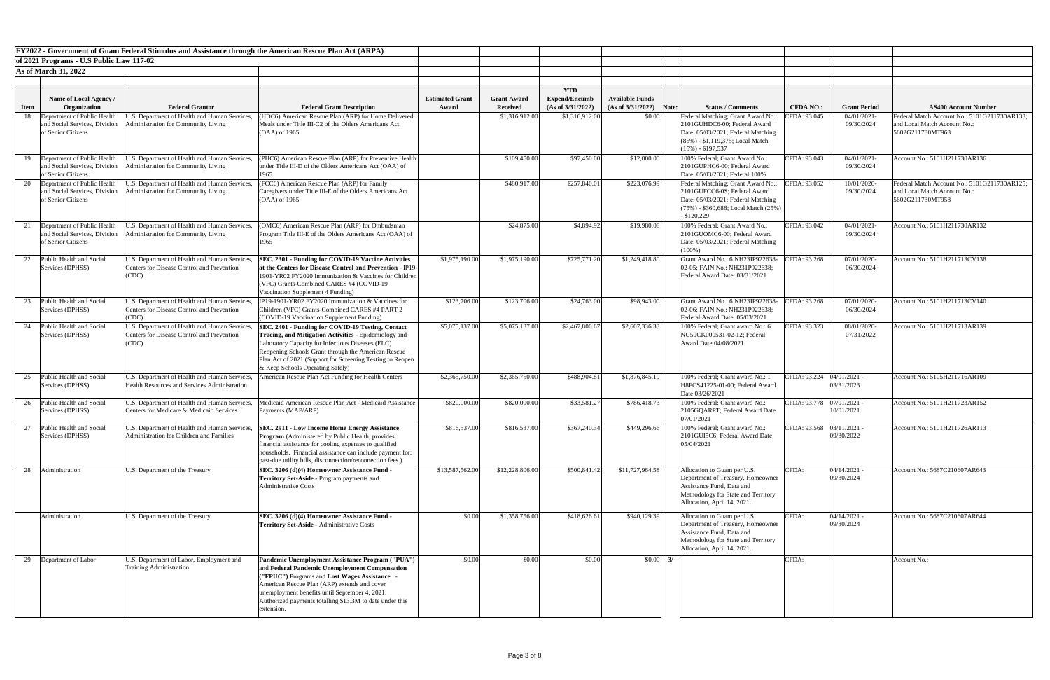|             |                                                                                    | FY2022 - Government of Guam Federal Stimulus and Assistance through the American Rescue Plan Act (ARPA) |                                                                                                                                                                                                                                                                                                                               |                                 |                                       |                                                         |                                                     |                                                                                                                                                                       |                                              |                                                                                                  |
|-------------|------------------------------------------------------------------------------------|---------------------------------------------------------------------------------------------------------|-------------------------------------------------------------------------------------------------------------------------------------------------------------------------------------------------------------------------------------------------------------------------------------------------------------------------------|---------------------------------|---------------------------------------|---------------------------------------------------------|-----------------------------------------------------|-----------------------------------------------------------------------------------------------------------------------------------------------------------------------|----------------------------------------------|--------------------------------------------------------------------------------------------------|
|             | of 2021 Programs - U.S Public Law 117-02                                           |                                                                                                         |                                                                                                                                                                                                                                                                                                                               |                                 |                                       |                                                         |                                                     |                                                                                                                                                                       |                                              |                                                                                                  |
|             | <b>As of March 31, 2022</b>                                                        |                                                                                                         |                                                                                                                                                                                                                                                                                                                               |                                 |                                       |                                                         |                                                     |                                                                                                                                                                       |                                              |                                                                                                  |
|             |                                                                                    |                                                                                                         |                                                                                                                                                                                                                                                                                                                               |                                 |                                       |                                                         |                                                     |                                                                                                                                                                       |                                              |                                                                                                  |
| <b>Item</b> | Name of Local Agency /<br>Organization                                             | <b>Federal Grantor</b>                                                                                  | <b>Federal Grant Description</b>                                                                                                                                                                                                                                                                                              | <b>Estimated Grant</b><br>Award | <b>Grant Award</b><br><b>Received</b> | <b>YTD</b><br><b>Expend/Encumb</b><br>(As of 3/31/2022) | <b>Available Funds</b><br>$(As of 3/31/2022)$ Note: | <b>Status / Comments</b>                                                                                                                                              | <b>Grant Period</b><br><b>CFDA NO.:</b>      | <b>AS400 Account Number</b>                                                                      |
| 18          | Department of Public Health                                                        | J.S. Department of Health and Human Services                                                            | (HDC6) American Rescue Plan (ARP) for Home Delivered                                                                                                                                                                                                                                                                          |                                 | \$1,316,912.00                        | \$1,316,912.00                                          | \$0.00                                              | Federal Matching; Grant Award No.:                                                                                                                                    | CFDA: 93.045<br>04/01/2021                   | Federal Match Account No.: 5101G211730AR133;                                                     |
|             | and Social Services, Division<br>of Senior Citizens                                | dministration for Community Living                                                                      | Meals under Title III-C2 of the Olders Americans Act<br>$(OAA)$ of 1965                                                                                                                                                                                                                                                       |                                 |                                       |                                                         |                                                     | 2101GUHDC6-00; Federal Award<br>Date: 05/03/2021; Federal Matching<br>$(85\%)$ - \$1,119,375; Local Match<br>$(15\%) - $197,537$                                      | 09/30/2024                                   | and Local Match Account No.:<br>5602G211730MT963                                                 |
|             | Department of Public Health<br>and Social Services, Division<br>of Senior Citizens | J.S. Department of Health and Human Services,<br>dministration for Community Living                     | (PHC6) American Rescue Plan (ARP) for Preventive Health<br>under Title III-D of the Olders Americans Act (OAA) of<br>1965                                                                                                                                                                                                     |                                 | \$109,450.00                          | \$97,450.00                                             | \$12,000.00                                         | 100% Federal; Grant Award No.:<br>2101GUPHC6-00; Federal Award<br>Date: 05/03/2021; Federal 100%                                                                      | CFDA: 93.043<br>04/01/2021<br>09/30/2024     | Account No.: 5101H211730AR136                                                                    |
|             | Department of Public Health<br>and Social Services, Division<br>of Senior Citizens | U.S. Department of Health and Human Services,<br><b>Administration for Community Living</b>             | (FCC6) American Rescue Plan (ARP) for Family<br>Caregivers under Title III-E of the Olders Americans Act<br>$(OAA)$ of 1965                                                                                                                                                                                                   |                                 | \$480,917.00                          | \$257,840.01                                            | \$223,076.99                                        | Federal Matching; Grant Award No.:<br>2101GUFCC6-0S; Federal Award<br>Date: 05/03/2021; Federal Matching<br>$(75%)$ - \$360,688; Local Match $(25%)$<br>$-$ \$120,229 | CFDA: 93.052<br>10/01/2020<br>09/30/2024     | Federal Match Account No.: 5101G211730AR125;<br>and Local Match Account No.:<br>5602G211730MT958 |
|             | Department of Public Health<br>and Social Services, Division<br>of Senior Citizens | U.S. Department of Health and Human Services,<br><b>Administration for Community Living</b>             | (OMC6) American Rescue Plan (ARP) for Ombudsman<br>Program Title III-E of the Olders Americans Act (OAA) of<br>1965                                                                                                                                                                                                           |                                 | \$24,875.00                           | \$4,894.92                                              | \$19,980.08                                         | 100% Federal; Grant Award No.:<br>2101GUOMC6-00; Federal Award<br>Date: 05/03/2021; Federal Matching<br>$(100\%)$                                                     | CFDA: 93.042<br>04/01/2021-<br>09/30/2024    | Account No.: 5101H211730AR132                                                                    |
| 22          | Public Health and Social<br>Services (DPHSS)                                       | U.S. Department of Health and Human Services,<br>Centers for Disease Control and Prevention<br>(CDC)    | SEC. 2301 - Funding for COVID-19 Vaccine Activities<br>at the Centers for Disease Control and Prevention - IP19-<br>1901-YR02 FY2020 Immunization & Vaccines for Children<br>(VFC) Grants-Combined CARES #4 (COVID-19<br>Vaccination Supplement 4 Funding)                                                                    | \$1,975,190.00                  | \$1,975,190.00                        | \$725,771.20                                            | \$1,249,418.80                                      | Grant Award No.: 6 NH23IP922638-<br>02-05; FAIN No.: NH231P922638;<br>Federal Award Date: 03/31/2021                                                                  | CFDA: 93.268<br>07/01/2020-<br>06/30/2024    | Account No.: 5101H211713CV138                                                                    |
|             | Public Health and Social<br>Services (DPHSS)                                       | U.S. Department of Health and Human Services,<br>Centers for Disease Control and Prevention<br>(CDC)    | IP19-1901-YR02 FY2020 Immunization & Vaccines for<br>Children (VFC) Grants-Combined CARES #4 PART 2<br>(COVID-19 Vaccination Supplement Funding)                                                                                                                                                                              | \$123,706.00                    | \$123,706.00                          | \$24,763.00                                             | \$98,943.00                                         | Grant Award No.: 6 NH23IP922638-<br>02-06; FAIN No.: NH231P922638;<br>Federal Award Date: 05/03/2021                                                                  | CFDA: 93.268<br>07/01/2020-<br>06/30/2024    | Account No.: 5101H211713CV140                                                                    |
|             | Public Health and Social<br>Services (DPHSS)                                       | U.S. Department of Health and Human Services,<br>Centers for Disease Control and Prevention<br>(CDC)    | SEC. 2401 - Funding for COVID-19 Testing, Contact<br>Tracing, and Mitigation Activities - Epidemiology and<br>Laboratory Capacity for Infectious Diseases (ELC)<br>Reopening Schools Grant through the American Rescue<br>Plan Act of 2021 (Support for Screening Testing to Reopen<br>& Keep Schools Operating Safely)       | \$5,075,137.00                  | \$5,075,137.00                        | \$2,467,800.67                                          | \$2,607,336.33                                      | 100% Federal; Grant award No.: 6<br>NU50CK000531-02-12; Federal<br>Award Date 04/08/2021                                                                              | CFDA: 93.323<br>08/01/2020<br>07/31/2022     | Account No.: 5101H211713AR139                                                                    |
| 25          | Public Health and Social<br>Services (DPHSS)                                       | U.S. Department of Health and Human Services,<br>Health Resources and Services Administration           | American Rescue Plan Act Funding for Health Centers                                                                                                                                                                                                                                                                           | \$2,365,750.00                  | \$2,365,750.00                        | \$488,904.81                                            | \$1,876,845.19                                      | 100% Federal; Grant award No.: 1<br>H8FCS41225-01-00; Federal Award<br>Date 03/26/2021                                                                                | CFDA: 93.224<br>$04/01/2021$ -<br>03/31/2023 | Account No.: 5105H211716AR109                                                                    |
|             | 26 Public Health and Social<br>Services (DPHSS)                                    | U.S. Department of Health and Human Services,<br>Centers for Medicare & Medicaid Services               | Medicaid American Rescue Plan Act - Medicaid Assistance<br>Payments (MAP/ARP)                                                                                                                                                                                                                                                 | \$820,000.00                    | \$820,000.00                          | \$33,581.27                                             | \$786,418.73                                        | 100% Federal; Grant award No.:<br>2105GQARPT; Federal Award Date<br>07/01/2021                                                                                        | CFDA: 93.778 07/01/2021 -<br>10/01/2021      | Account No.: 5101H211723AR152                                                                    |
|             | Public Health and Social<br>Services (DPHSS)                                       | U.S. Department of Health and Human Services,<br>Administration for Children and Families               | SEC. 2911 - Low Income Home Energy Assistance<br><b>Program</b> (Administered by Public Health, provides<br>financial assistance for cooling expenses to qualified<br>households. Financial assistance can include payment for:<br>past-due utility bills, disconnection/reconnection fees.)                                  | \$816,537.00                    | \$816,537.00                          | \$367,240.34                                            | \$449,296.66                                        | 100% Federal; Grant award No.:<br>2101GUI5C6; Federal Award Date<br>05/04/2021                                                                                        | CFDA: 93.568 03/11/2021 -<br>09/30/2022      | Account No.: 5101H211726AR113                                                                    |
| 28          | Administration                                                                     | U.S. Department of the Treasury                                                                         | SEC. 3206 (d)(4) Homeowner Assistance Fund -<br>Territory Set-Aside - Program payments and<br><b>Administrative Costs</b>                                                                                                                                                                                                     | \$13,587,562.00                 | \$12,228,806.00                       | \$500,841.42                                            | \$11,727,964.58                                     | Allocation to Guam per U.S.<br>Department of Treasury, Homeowner<br>Assistance Fund, Data and<br>Methodology for State and Territory<br>Allocation, April 14, 2021.   | $04/14/2021$ -<br>CFDA:<br>09/30/2024        | Account No.: 5687C210607AR643                                                                    |
|             | Administration                                                                     | U.S. Department of the Treasury                                                                         | SEC. 3206 (d)(4) Homeowner Assistance Fund -<br>Territory Set-Aside - Administrative Costs                                                                                                                                                                                                                                    | \$0.00                          | \$1,358,756.00                        | \$418,626.61                                            | \$940,129.39                                        | Allocation to Guam per U.S.<br>Department of Treasury, Homeowner<br>Assistance Fund, Data and<br>Methodology for State and Territory<br>Allocation, April 14, 2021.   | CFDA:<br>$04/14/2021$ -<br>09/30/2024        | Account No.: 5687C210607AR644                                                                    |
|             | 29 Department of Labor                                                             | U.S. Department of Labor, Employment and<br>Training Administration                                     | Pandemic Unemployment Assistance Program ("PUA")<br>and Federal Pandemic Unemployment Compensation<br>("FPUC") Programs and Lost Wages Assistance<br>American Rescue Plan (ARP) extends and cover<br>unemployment benefits until September 4, 2021.<br>Authorized payments totalling \$13.3M to date under this<br>extension. | \$0.00                          | \$0.00                                | \$0.00                                                  |                                                     | $$0.00$ 3/                                                                                                                                                            | CFDA:                                        | Account No.:                                                                                     |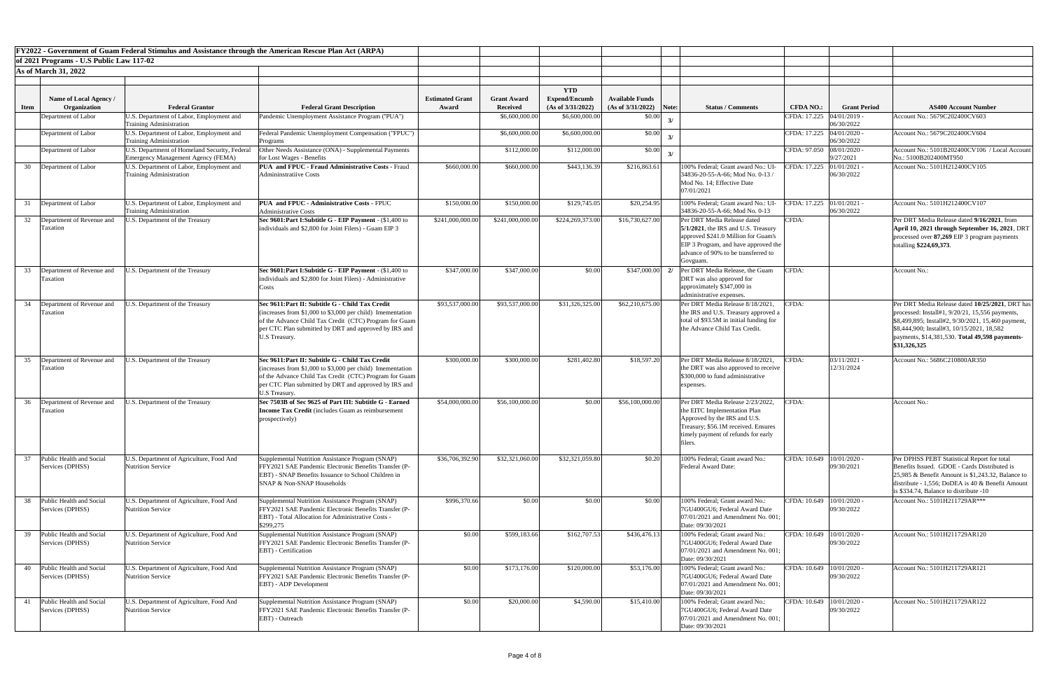|             |                                                               | FY2022 - Government of Guam Federal Stimulus and Assistance through the American Rescue Plan Act (ARPA) |                                                                                                                                                                                                                                                             |                                 |                                                         |                                                                              |                                                       |       |                                                                                                                                                                                                        |                                               |                          |                                                                                                                                                                                                                                                                           |
|-------------|---------------------------------------------------------------|---------------------------------------------------------------------------------------------------------|-------------------------------------------------------------------------------------------------------------------------------------------------------------------------------------------------------------------------------------------------------------|---------------------------------|---------------------------------------------------------|------------------------------------------------------------------------------|-------------------------------------------------------|-------|--------------------------------------------------------------------------------------------------------------------------------------------------------------------------------------------------------|-----------------------------------------------|--------------------------|---------------------------------------------------------------------------------------------------------------------------------------------------------------------------------------------------------------------------------------------------------------------------|
|             | of 2021 Programs - U.S Public Law 117-02                      |                                                                                                         |                                                                                                                                                                                                                                                             |                                 |                                                         |                                                                              |                                                       |       |                                                                                                                                                                                                        |                                               |                          |                                                                                                                                                                                                                                                                           |
|             | <b>As of March 31, 2022</b>                                   |                                                                                                         |                                                                                                                                                                                                                                                             |                                 |                                                         |                                                                              |                                                       |       |                                                                                                                                                                                                        |                                               |                          |                                                                                                                                                                                                                                                                           |
| <b>Item</b> | Name of Local Agency /<br>Organization<br>Department of Labor | <b>Federal Grantor</b><br>U.S. Department of Labor, Employment and                                      | <b>Federal Grant Description</b><br>Pandemic Unemployment Assistance Program ("PUA")                                                                                                                                                                        | <b>Estimated Grant</b><br>Award | <b>Grant Award</b><br><b>Received</b><br>\$6,600,000.00 | <b>YTD</b><br><b>Expend/Encumb</b><br>(As of $3/31/2022$ )<br>\$6,600,000.00 | <b>Available Funds</b><br>(As of 3/31/2022)<br>\$0.00 | Note: | <b>Status / Comments</b>                                                                                                                                                                               | <b>CFDA NO.:</b><br>CFDA: 17.225 04/01/2019 - | <b>Grant Period</b>      | <b>AS400 Account Number</b><br>Account No.: 5679C202400CV603                                                                                                                                                                                                              |
|             |                                                               | <b>Training Administration</b>                                                                          |                                                                                                                                                                                                                                                             |                                 |                                                         |                                                                              |                                                       |       |                                                                                                                                                                                                        |                                               | 06/30/2022               |                                                                                                                                                                                                                                                                           |
|             | Department of Labor                                           | U.S. Department of Labor, Employment and<br>Training Administration                                     | Federal Pandemic Unemployment Compensation ("FPUC")<br>Programs                                                                                                                                                                                             |                                 | \$6,600,000.00                                          | \$6,600,000.0                                                                | \$0.00                                                |       |                                                                                                                                                                                                        | CFDA: 17.225 04/01/2020 -                     | 06/30/2022               | Account No.: 5679C202400CV604                                                                                                                                                                                                                                             |
|             | Department of Labor                                           | U.S. Department of Homeland Security, Federal<br><b>Emergency Management Agency (FEMA)</b>              | Other Needs Assistance (ONA) - Supplemental Payments<br>for Lost Wages - Benefits                                                                                                                                                                           |                                 | \$112,000.00                                            | \$112,000.00                                                                 | \$0.00                                                |       |                                                                                                                                                                                                        | CFDA: 97.050 08/01/2020 -                     | 9/27/2021                | Account No.: 5101B202400CV106 / Local Account<br>No.: 5100B202400MT950                                                                                                                                                                                                    |
| 30          | Department of Labor                                           | U.S. Department of Labor, Employment and<br><b>Training Administration</b>                              | <b>PUA and FPUC - Fraud Administrative Costs - Fraud</b><br><b>Admininstratiive Costs</b>                                                                                                                                                                   | \$660,000.00                    | \$660,000.00                                            | \$443,136.39                                                                 | \$216,863.61                                          |       | 100% Federal; Grant award No.: UI<br>34836-20-55-A-66; Mod No. 0-13/<br>Mod No. 14; Effective Date<br>07/01/2021                                                                                       | CFDA: 17.225                                  | 01/01/2021<br>06/30/2022 | Account No.: 5101H212400CV105                                                                                                                                                                                                                                             |
|             | Department of Labor                                           | U.S. Department of Labor, Employment and<br><b>Training Administration</b>                              | <b>PUA and FPUC - Administrative Costs - FPUC</b><br>Administrative Costs                                                                                                                                                                                   | \$150,000.00                    | \$150,000.00                                            | \$129,745.05                                                                 | \$20,254.95                                           |       | 100% Federal; Grant award No.: UI-<br>34836-20-55-A-66; Mod No. 0-13                                                                                                                                   | CFDA: 17.225 01/01/2021 -                     | 06/30/2022               | Account No.: 5101H212400CV107                                                                                                                                                                                                                                             |
| 32          | Department of Revenue and<br>Taxation                         | J.S. Department of the Treasury                                                                         | Sec 9601: Part I: Subtitle G - EIP Payment - (\$1,400 to<br>individuals and \$2,800 for Joint Filers) - Guam EIP 3                                                                                                                                          | \$241,000,000.00                | \$241,000,000.00                                        | \$224,269,373.00                                                             | \$16,730,627.00                                       |       | Per DRT Media Release dated<br>$5/1/2021$ , the IRS and U.S. Treasury<br>approved \$241.0 Million for Guam's<br>EIP 3 Program, and have approved the<br>advance of 90% to be transferred to<br>Govguam | CFDA:                                         |                          | Per DRT Media Release dated 9/16/2021, from<br>April 10, 2021 through September 16, 2021, DRT<br>processed over 87,269 EIP 3 program payments<br>totalling \$224,69,373.                                                                                                  |
| 33          | Department of Revenue and<br>Taxation                         | J.S. Department of the Treasury                                                                         | Sec 9601: Part I: Subtitle G - EIP Payment - (\$1,400 to<br>individuals and \$2,800 for Joint Filers) - Administrative<br>Costs                                                                                                                             | \$347,000.00                    | \$347,000.00                                            | \$0.00                                                                       | \$347,000.00                                          |       | Per DRT Media Release, the Guam<br>DRT was also approved for<br>approximately \$347,000 in<br>administrative expenses                                                                                  | CFDA:                                         |                          | Account No.:                                                                                                                                                                                                                                                              |
| 34          | Department of Revenue and<br><b>Taxation</b>                  | U.S. Department of the Treasury                                                                         | Sec 9611: Part II: Subtitle G - Child Tax Credit<br>(increases from $$1,000$ to $$3,000$ per child) Imementation<br>of the Advance Child Tax Credit (CTC) Program for Guam<br>per CTC Plan submitted by DRT and approved by IRS and<br><b>U.S Treasury.</b> | \$93,537,000.00                 | \$93,537,000.00                                         | \$31,326,325.00                                                              | \$62,210,675.00                                       |       | Per DRT Media Release 8/18/2021,<br>the IRS and U.S. Treasury approved a<br>total of \$93.5M in initial funding for<br>the Advance Child Tax Credit.                                                   | CFDA:                                         |                          | Per DRT Media Release dated 10/25/2021, DRT has<br>processed: Install#1, 9/20/21, 15,556 payments,<br>\$8,499,895; Install#2, 9/30/2021, 15,460 payment,<br>\\$8,444,900; Install#3, 10/15/2021, 18,582<br>payments, \$14,381,530. Total 49,598 payments-<br>\$31,326,325 |
| 35          | Department of Revenue and<br><b>Taxation</b>                  | J.S. Department of the Treasury                                                                         | Sec 9611:Part II: Subtitle G - Child Tax Credit<br>(increases from $$1,000$ to $$3,000$ per child) Imementation<br>of the Advance Child Tax Credit (CTC) Program for Guam<br>per CTC Plan submitted by DRT and approved by IRS and<br>U.S Treasury.         | \$300,000.00                    | \$300,000.00                                            | \$281,402.80                                                                 | \$18,597.20                                           |       | Per DRT Media Release 8/18/2021,<br>the DRT was also approved to receive<br>\$300,000 to fund administrative<br>expenses.                                                                              | CFDA:                                         | 03/11/2021<br>12/31/2024 | Account No.: 5686C210800AR350                                                                                                                                                                                                                                             |
| 36          | Department of Revenue and<br><b>Taxation</b>                  | J.S. Department of the Treasury                                                                         | Sec 7503B of Sec 9625 of Part III: Subtitle G - Earned<br><b>Income Tax Credit</b> (includes Guam as reimbursement<br>prospectively)                                                                                                                        | \$54,000,000.00                 | \$56,100,000.00                                         | \$0.00                                                                       | \$56,100,000.00                                       |       | Per DRT Media Release 2/23/2022,<br>the EITC Implementation Plan<br>Approved by the IRS and U.S.<br>Treasury; \$56.1M received. Ensures<br>timely payment of refunds for early<br>tılers               | CFDA:                                         |                          | Account No.:                                                                                                                                                                                                                                                              |
|             | Public Health and Social<br>Services (DPHSS)                  | J.S. Department of Agriculture, Food And<br><b>Nutrition Service</b>                                    | Supplemental Nutrition Assistance Program (SNAP)<br>FFY2021 SAE Pandemic Electronic Benefits Transfer (P-<br><b>EBT)</b> - SNAP Benefits Issuance to School Children in<br><b>SNAP &amp; Non-SNAP Households</b>                                            | \$36,706,392.90                 | \$32,321,060.00                                         | \$32,321,059.80                                                              | \$0.20                                                |       | 100% Federal; Grant award No.:<br>Federal Award Date:                                                                                                                                                  | CFDA: 10.649                                  | 10/01/2020<br>09/30/2021 | Per DPHSS PEBT Statistical Report for total<br>Benefits Issued. GDOE - Cards Distributed is<br>$[25,985 \&$ Benefit Amount is \$1,243.32, Balance to<br>distribute - 1,556; DoDEA is 40 & Benefit Amoun<br>is \$334.74, Balance to distribute -10                         |
| 38          | Public Health and Social<br>Services (DPHSS)                  | U.S. Department of Agriculture, Food And<br><b>Nutrition Service</b>                                    | Supplemental Nutrition Assistance Program (SNAP)<br>FFY2021 SAE Pandemic Electronic Benefits Transfer (P-<br>EBT) - Total Allocation for Administrative Costs -<br>\$299,275                                                                                | \$996,370.66                    | \$0.00                                                  | \$0.00                                                                       | \$0.00                                                |       | 100% Federal; Grant award No.:<br>7GU400GU6; Federal Award Date<br>07/01/2021 and Amendment No. 001:<br>Date: 09/30/2021                                                                               | CFDA: 10.649                                  | 10/01/2020<br>09/30/2022 | Account No.: 5101H211729AR***                                                                                                                                                                                                                                             |
| 39          | Public Health and Social<br>Services (DPHSS)                  | U.S. Department of Agriculture, Food And<br><b>Nutrition Service</b>                                    | Supplemental Nutrition Assistance Program (SNAP)<br>FFY2021 SAE Pandemic Electronic Benefits Transfer (P-<br><b>EBT</b> ) - Certification                                                                                                                   | \$0.00                          | \$599,183.66                                            | \$162,707.53                                                                 | \$436,476.13                                          |       | 100% Federal; Grant award No.:<br>7GU400GU6; Federal Award Date<br>07/01/2021 and Amendment No. 001;<br>Date: 09/30/2021                                                                               | CFDA: $10.649$   $10/01/2020$                 | 09/30/2022               | Account No.: 5101H211729AR120                                                                                                                                                                                                                                             |
| 40          | Public Health and Social<br>Services (DPHSS)                  | U.S. Department of Agriculture, Food And<br><b>Nutrition Service</b>                                    | Supplemental Nutrition Assistance Program (SNAP)<br>FFY2021 SAE Pandemic Electronic Benefits Transfer (P-<br><b>EBT)</b> - ADP Development                                                                                                                  | \$0.00                          | \$173,176.00                                            | \$120,000.00                                                                 | \$53,176.00                                           |       | 100% Federal; Grant award No.:<br>7GU400GU6; Federal Award Date<br>$[07/01/2021$ and Amendment No. 001;<br>Date: 09/30/2021                                                                            | CFDA: 10.649   10/01/2020 -                   | 09/30/2022               | Account No.: 5101H211729AR121                                                                                                                                                                                                                                             |
|             | Public Health and Social<br>Services (DPHSS)                  | U.S. Department of Agriculture, Food And<br><b>Nutrition Service</b>                                    | Supplemental Nutrition Assistance Program (SNAP)<br>FFY2021 SAE Pandemic Electronic Benefits Transfer (P-<br>EBT) - Outreach                                                                                                                                | \$0.00                          | \$20,000.00                                             | \$4,590.00                                                                   | \$15,410.00                                           |       | 100% Federal; Grant award No.:<br>7GU400GU6; Federal Award Date<br>$07/01/2021$ and Amendment No. 001;<br>Date: 09/30/2021                                                                             | CFDA: 10.649   10/01/2020 -                   | 09/30/2022               | Account No.: 5101H211729AR122                                                                                                                                                                                                                                             |

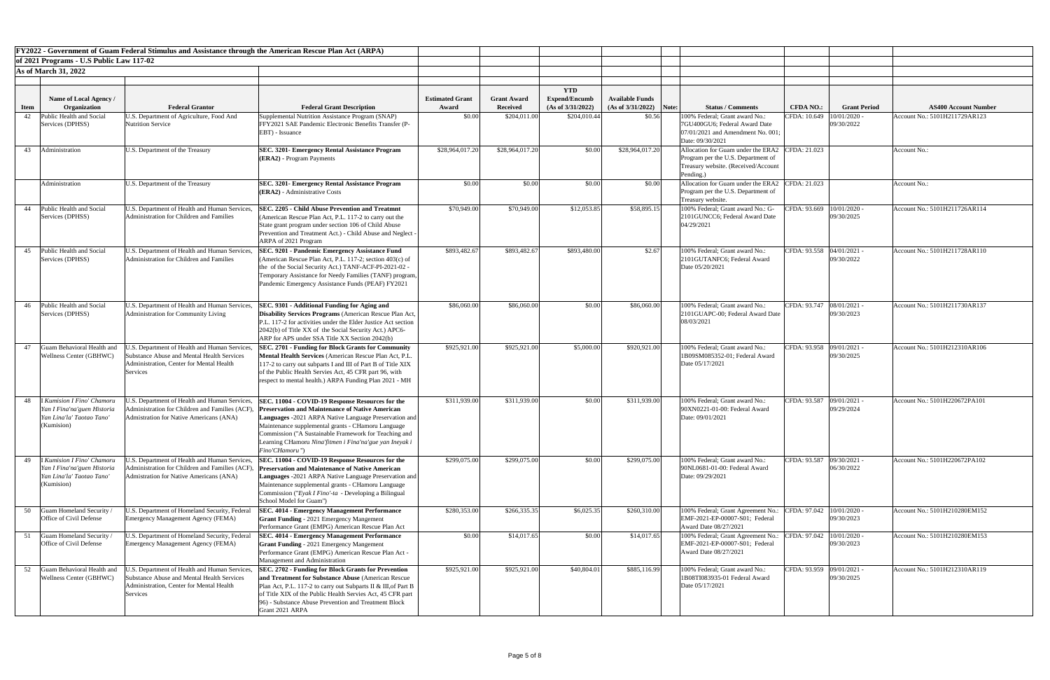|             |                                                                  | FY2022 - Government of Guam Federal Stimulus and Assistance through the American Rescue Plan Act (ARPA) |                                                                                                                         |                        |                    |                                    |                           |                                                                           |                             |                              |                               |
|-------------|------------------------------------------------------------------|---------------------------------------------------------------------------------------------------------|-------------------------------------------------------------------------------------------------------------------------|------------------------|--------------------|------------------------------------|---------------------------|---------------------------------------------------------------------------|-----------------------------|------------------------------|-------------------------------|
|             | of 2021 Programs - U.S Public Law 117-02                         |                                                                                                         |                                                                                                                         |                        |                    |                                    |                           |                                                                           |                             |                              |                               |
|             | <b>As of March 31, 2022</b>                                      |                                                                                                         |                                                                                                                         |                        |                    |                                    |                           |                                                                           |                             |                              |                               |
|             |                                                                  |                                                                                                         |                                                                                                                         |                        |                    |                                    |                           |                                                                           |                             |                              |                               |
|             | Name of Local Agency /                                           |                                                                                                         |                                                                                                                         | <b>Estimated Grant</b> | <b>Grant Award</b> | <b>YTD</b><br><b>Expend/Encumb</b> | <b>Available Funds</b>    |                                                                           |                             |                              |                               |
| <b>Item</b> | Organization                                                     | <b>Federal Grantor</b>                                                                                  | <b>Federal Grant Description</b>                                                                                        | Award                  | <b>Received</b>    | (As of 3/31/2022)                  | $(As of 3/31/2022)$ Note: | <b>Status / Comments</b>                                                  | <b>CFDA NO.:</b>            | <b>Grant Period</b>          | <b>AS400 Account Number</b>   |
| 42          | Public Health and Social                                         | U.S. Department of Agriculture, Food And<br>Nutrition Service                                           | Supplemental Nutrition Assistance Program (SNAP)                                                                        | \$0.00                 | \$204,011.00       | \$204,010.44                       | \$0.56                    | 100% Federal; Grant award No.:                                            | CFDA: 10.649 10/01/2020     | 09/30/2022                   | Account No.: 5101H211729AR123 |
|             | Services (DPHSS)                                                 |                                                                                                         | FFY2021 SAE Pandemic Electronic Benefits Transfer (P-<br>EBT) - Issuance                                                |                        |                    |                                    |                           | 7GU400GU6; Federal Award Date<br>07/01/2021 and Amendment No. 001;        |                             |                              |                               |
|             |                                                                  |                                                                                                         |                                                                                                                         |                        |                    |                                    |                           | Date: 09/30/2021                                                          |                             |                              |                               |
| 43          | Administration                                                   | U.S. Department of the Treasury                                                                         | <b>SEC. 3201- Emergency Rental Assistance Program</b>                                                                   | \$28,964,017.20        | \$28,964,017.20    | \$0.00                             | \$28,964,017.20           | Allocation for Guam under the ERA2 CFDA: 21.023                           |                             |                              | Account No.:                  |
|             |                                                                  |                                                                                                         | (ERA2) - Program Payments                                                                                               |                        |                    |                                    |                           | Program per the U.S. Department of<br>Treasury website. (Received/Account |                             |                              |                               |
|             |                                                                  |                                                                                                         |                                                                                                                         |                        |                    |                                    |                           | Pending.)                                                                 |                             |                              |                               |
|             | Administration                                                   | U.S. Department of the Treasury                                                                         | <b>SEC. 3201- Emergency Rental Assistance Program</b>                                                                   | \$0.00                 | \$0.00             | \$0.00                             | \$0.00                    | Allocation for Guam under the ERA2 CFDA: 21.023                           |                             |                              | Account No.:                  |
|             |                                                                  |                                                                                                         | $ $ (ERA2) - Administrative Costs                                                                                       |                        |                    |                                    |                           | Program per the U.S. Department of<br>Treasury website.                   |                             |                              |                               |
| 44          | Public Health and Social                                         | U.S. Department of Health and Human Services,                                                           | <b>SEC. 2205 - Child Abuse Prevention and Treatmnt</b>                                                                  | \$70,949.00            | \$70,949.00        | \$12,053.85                        | \$58,895.15               | 100% Federal; Grant award No.: G-                                         | CFDA: 93.669   10/01/2020 - |                              | Account No.: 5101H211726AR114 |
|             | Services (DPHSS)                                                 | Administration for Children and Families                                                                | (American Rescue Plan Act, P.L. 117-2 to carry out the                                                                  |                        |                    |                                    |                           | 2101GUNCC6; Federal Award Date                                            |                             | 09/30/2025                   |                               |
|             |                                                                  |                                                                                                         | State grant program under section 106 of Child Abuse<br>Prevention and Treatment Act.) - Child Abuse and Neglect -      |                        |                    |                                    |                           | 04/29/2021                                                                |                             |                              |                               |
|             |                                                                  |                                                                                                         | ARPA of 2021 Program                                                                                                    |                        |                    |                                    |                           |                                                                           |                             |                              |                               |
|             | 45 Public Health and Social                                      | U.S. Department of Health and Human Services,                                                           | <b>SEC. 9201 - Pandemic Emergency Assistance Fund</b>                                                                   | \$893,482.67           | \$893,482.67       | \$893,480.00                       | \$2.67                    | 100% Federal; Grant award No.:                                            | CFDA: 93.558 04/01/2021 -   |                              | Account No.: 5101H211728AR110 |
|             | Services (DPHSS)                                                 | Administration for Children and Families                                                                | (American Rescue Plan Act, P.L. 117-2; section 403(c) of                                                                |                        |                    |                                    |                           | 2101GUTANFC6; Federal Award                                               |                             | 09/30/2022                   |                               |
|             |                                                                  |                                                                                                         | the of the Social Security Act.) TANF-ACF-PI-2021-02 -<br>Temporary Assistance for Needy Families (TANF) program,       |                        |                    |                                    |                           | Date 05/20/2021                                                           |                             |                              |                               |
|             |                                                                  |                                                                                                         | Pandemic Emergency Assistance Funds (PEAF) FY2021                                                                       |                        |                    |                                    |                           |                                                                           |                             |                              |                               |
|             |                                                                  |                                                                                                         |                                                                                                                         |                        |                    |                                    |                           |                                                                           |                             |                              |                               |
|             | 46 Public Health and Social                                      | U.S. Department of Health and Human Services,                                                           | SEC. 9301 - Additional Funding for Aging and                                                                            | \$86,060.00            | \$86,060.00        | \$0.00                             | \$86,060.00               | 100% Federal; Grant award No.:                                            | CFDA: 93.747 08/01/2021 -   |                              | Account No.: 5101H211730AR137 |
|             | Services (DPHSS)                                                 | Administration for Community Living                                                                     | <b>Disability Services Programs</b> (American Rescue Plan Act,                                                          |                        |                    |                                    |                           | 2101GUAPC-00; Federal Award Date                                          |                             | 09/30/2023                   |                               |
|             |                                                                  |                                                                                                         | P.L. 117-2 for activities under the Elder Justice Act section<br>2042(b) of Title XX of the Social Security Act.) APC6- |                        |                    |                                    |                           | 08/03/2021                                                                |                             |                              |                               |
|             |                                                                  |                                                                                                         | ARP for APS under SSA Title XX Section 2042(b)                                                                          |                        |                    |                                    |                           |                                                                           |                             |                              |                               |
| 47          | Guam Behavioral Health and                                       | J.S. Department of Health and Human Services,                                                           | <b>SEC. 2701 - Funding for Block Grants for Community</b>                                                               | \$925,921.00           | \$925,921.00       | \$5,000.00                         | \$920,921.00              | 100% Federal; Grant award No.:                                            | CFDA: 93.958 09/01/2021 -   |                              | Account No.: 5101H212310AR106 |
|             | <b>Wellness Center (GBHWC)</b>                                   | Substance Abuse and Mental Health Services<br>Administration, Center for Mental Health                  | Mental Health Services (American Rescue Plan Act, P.L.<br>117-2 to carry out subparts I and III of Part B of Title XIX  |                        |                    |                                    |                           | 1B09SM085352-01; Federal Award<br>Date 05/17/2021                         |                             | 09/30/2025                   |                               |
|             |                                                                  | Services                                                                                                | of the Public Health Servies Act, 45 CFR part 96, with                                                                  |                        |                    |                                    |                           |                                                                           |                             |                              |                               |
|             |                                                                  |                                                                                                         | respect to mental health.) ARPA Funding Plan 2021 - MH                                                                  |                        |                    |                                    |                           |                                                                           |                             |                              |                               |
|             |                                                                  |                                                                                                         |                                                                                                                         |                        |                    |                                    |                           |                                                                           |                             |                              |                               |
| 48          | <b>I Kumision I Fino' Chamoru</b><br>Yan I Fina'na'guen Historia | J.S. Department of Health and Human Services,<br>Administration for Children and Families (ACF)         | SEC. 11004 - COVID-19 Response Resources for the<br><b>Preservation and Maintenance of Native American</b>              | \$311,939.00           | \$311,939.00       | \$0.00                             | \$311,939.00              | 100% Federal; Grant award No.:<br>90XN0221-01-00: Federal Award           | CFDA: 93.587 09/01/2021 -   | 09/29/2024                   | Account No.: 5101H220672PA101 |
|             | Yan Lina'la' Taotao Tano                                         | Admistration for Native Americans (ANA)                                                                 | Languages -2021 ARPA Native Language Preservation and                                                                   |                        |                    |                                    |                           | Date: 09/01/2021                                                          |                             |                              |                               |
|             | (Kumision)                                                       |                                                                                                         | Maintenance supplemental grants - CHamoru Language                                                                      |                        |                    |                                    |                           |                                                                           |                             |                              |                               |
|             |                                                                  |                                                                                                         | Commission ("A Sustainable Framework for Teaching and<br>Learning CHamoru Nina'fitmen i Fina'na'gue yan Ineyak i        |                        |                    |                                    |                           |                                                                           |                             |                              |                               |
|             |                                                                  |                                                                                                         | Fino'CHamoru")                                                                                                          |                        |                    |                                    |                           |                                                                           |                             |                              |                               |
|             | I Kumision I Fino' Chamoru                                       | J.S. Department of Health and Human Services,                                                           | SEC. 11004 - COVID-19 Response Resources for the                                                                        | \$299,075.00           | \$299,075.00       | \$0.00                             | \$299,075.00              | 100% Federal; Grant award No.:                                            | CFDA: 93.587 09/30/2021 -   |                              | Account No.: 5101H220672PA102 |
|             | Yan I Fina'na'guen Historia<br>Yan Lina'la' Taotao Tano          | Administration for Children and Families (ACF<br>Admistration for Native Americans (ANA)                | <b>Preservation and Maintenance of Native American</b>                                                                  |                        |                    |                                    |                           | 90NL0681-01-00: Federal Award<br>Date: 09/29/2021                         |                             | 06/30/2022                   |                               |
|             | (Kumision)                                                       |                                                                                                         | Languages -2021 ARPA Native Language Preservation and<br>Maintenance supplemental grants - CHamoru Language             |                        |                    |                                    |                           |                                                                           |                             |                              |                               |
|             |                                                                  |                                                                                                         | Commission ("Eyak I Fino'-ta - Developing a Bilingual                                                                   |                        |                    |                                    |                           |                                                                           |                             |                              |                               |
|             |                                                                  |                                                                                                         | School Model for Guam")                                                                                                 |                        |                    |                                    |                           |                                                                           |                             |                              | Account No.: 5101H210280EM152 |
| 50          | Guam Homeland Security /<br>Office of Civil Defense              | U.S. Department of Homeland Security, Federal<br>Emergency Management Agency (FEMA)                     | <b>SEC. 4014 - Emergency Management Performance</b><br><b>Grant Funding - 2021 Emergency Mangement</b>                  | \$280,353.00           | \$266,335.35       | \$6,025.35                         | \$260,310.00              | 100% Federal; Grant Agreement No.:<br>EMF-2021-EP-00007-S01; Federal      | CFDA: 97.042                | $10/01/2020$ .<br>09/30/2023 |                               |
|             |                                                                  |                                                                                                         | Performance Grant (EMPG) American Rescue Plan Act                                                                       |                        |                    |                                    |                           | Award Date 08/27/2021                                                     |                             |                              |                               |
|             | Guam Homeland Security /                                         | U.S. Department of Homeland Security, Federal                                                           | <b>SEC. 4014 - Emergency Management Performance</b>                                                                     | \$0.00                 | \$14,017.65        | \$0.00                             | \$14,017.65               | 100% Federal; Grant Agreement No.:                                        | CFDA: 97.042   10/01/2020 - |                              | Account No.: 5101H210280EM153 |
|             | Office of Civil Defense                                          | Emergency Management Agency (FEMA)                                                                      | <b>Grant Funding - 2021 Emergency Mangement</b><br>Performance Grant (EMPG) American Rescue Plan Act -                  |                        |                    |                                    |                           | EMF-2021-EP-00007-S01; Federal<br>Award Date 08/27/2021                   | 09/30/2023                  |                              |                               |
|             |                                                                  |                                                                                                         | Management and Administration                                                                                           |                        |                    |                                    |                           |                                                                           |                             |                              |                               |
| 52          | Guam Behavioral Health and                                       | J.S. Department of Health and Human Services.                                                           | <b>SEC. 2702 - Funding for Block Grants for Prevention</b>                                                              | \$925,921.00           | \$925,921.00       | \$40,804.01                        | \$885,116.99              | 100% Federal; Grant award No.:                                            | CFDA: 93.959 09/01/2021 -   |                              | Account No.: 5101H212310AR119 |
|             | Wellness Center (GBHWC)                                          | Substance Abuse and Mental Health Services<br>Administration, Center for Mental Health                  | and Treatment for Substance Abuse (American Rescue)<br>Plan Act, P.L. 117-2 to carry out Subparts II & III, of Part B   |                        |                    |                                    |                           | 1B08TI083935-01 Federal Award<br>Date 05/17/2021                          |                             | 09/30/2025                   |                               |
|             |                                                                  | Services                                                                                                | of Title XIX of the Public Health Servies Act, 45 CFR part                                                              |                        |                    |                                    |                           |                                                                           |                             |                              |                               |
|             |                                                                  |                                                                                                         | [96] - Substance Abuse Prevention and Treatment Block                                                                   |                        |                    |                                    |                           |                                                                           |                             |                              |                               |
|             |                                                                  |                                                                                                         | Grant 2021 ARPA                                                                                                         |                        |                    |                                    |                           |                                                                           |                             |                              |                               |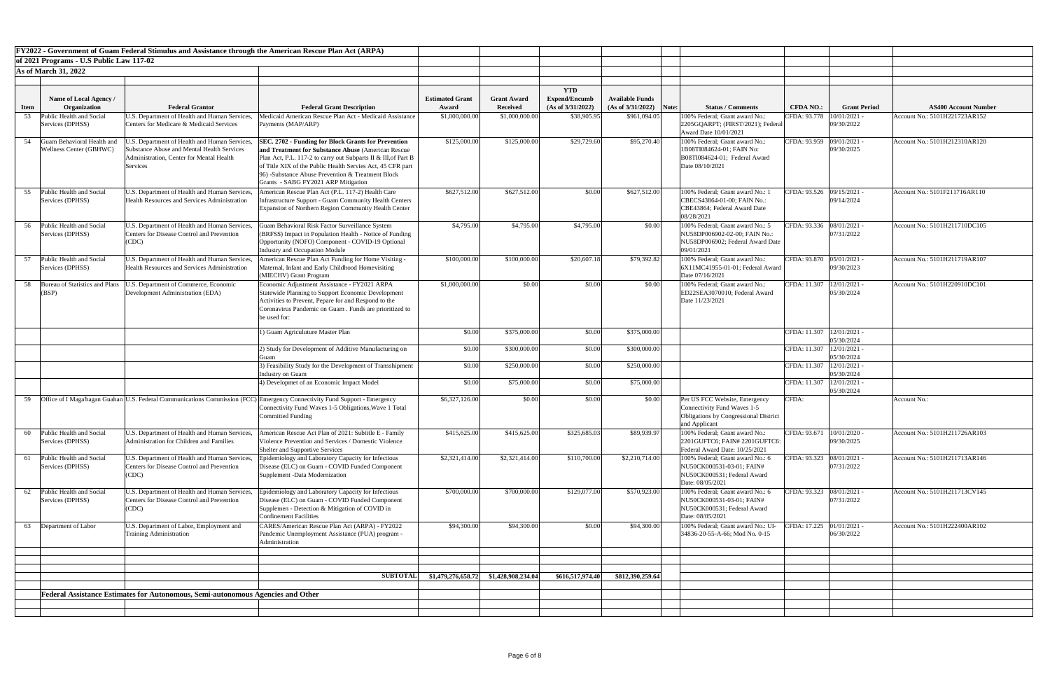|      |                                                       | FY2022 - Government of Guam Federal Stimulus and Assistance through the American Rescue Plan Act (ARPA)                                                           |                                                                                                                                                                                                                                                                                                                                               |                                 |                                       |                                           |                                                     |                                                                                                                               |                             |                              |                               |
|------|-------------------------------------------------------|-------------------------------------------------------------------------------------------------------------------------------------------------------------------|-----------------------------------------------------------------------------------------------------------------------------------------------------------------------------------------------------------------------------------------------------------------------------------------------------------------------------------------------|---------------------------------|---------------------------------------|-------------------------------------------|-----------------------------------------------------|-------------------------------------------------------------------------------------------------------------------------------|-----------------------------|------------------------------|-------------------------------|
|      | of 2021 Programs - U.S Public Law 117-02              |                                                                                                                                                                   |                                                                                                                                                                                                                                                                                                                                               |                                 |                                       |                                           |                                                     |                                                                                                                               |                             |                              |                               |
|      | <b>As of March 31, 2022</b>                           |                                                                                                                                                                   |                                                                                                                                                                                                                                                                                                                                               |                                 |                                       |                                           |                                                     |                                                                                                                               |                             |                              |                               |
|      |                                                       |                                                                                                                                                                   |                                                                                                                                                                                                                                                                                                                                               |                                 |                                       |                                           |                                                     |                                                                                                                               |                             |                              |                               |
|      |                                                       |                                                                                                                                                                   |                                                                                                                                                                                                                                                                                                                                               |                                 |                                       | <b>YTD</b>                                |                                                     |                                                                                                                               |                             |                              |                               |
| Item | <b>Name of Local Agency</b> /<br>Organization         | <b>Federal Grantor</b>                                                                                                                                            | <b>Federal Grant Description</b>                                                                                                                                                                                                                                                                                                              | <b>Estimated Grant</b><br>Award | <b>Grant Award</b><br><b>Received</b> | <b>Expend/Encumb</b><br>(As of 3/31/2022) | <b>Available Funds</b><br>$(As of 3/31/2022)$ Note: | <b>Status / Comments</b>                                                                                                      | <b>CFDA NO.:</b>            | <b>Grant Period</b>          | <b>AS400 Account Number</b>   |
| 53   | Public Health and Social                              | J.S. Department of Health and Human Services,                                                                                                                     | Medicaid American Rescue Plan Act - Medicaid Assistance                                                                                                                                                                                                                                                                                       | \$1,000,000.0                   | \$1,000,000.00                        | \$38,905.95                               | \$961,094.05                                        | 100% Federal; Grant award No.:                                                                                                | CFDA: 93.778                | $10/01/2021$ .               | Account No.: 5101H221723AR152 |
|      | Services (DPHSS)                                      | Centers for Medicare & Medicaid Services                                                                                                                          | Payments (MAP/ARP)                                                                                                                                                                                                                                                                                                                            |                                 |                                       |                                           |                                                     | [2205GQARPT; (FIRST/2021); Federal<br>Award Date 10/01/2021                                                                   |                             | 09/30/2022                   |                               |
| 54   | Guam Behavioral Health and<br>Wellness Center (GBHWC) | J.S. Department of Health and Human Services,<br><b>Substance Abuse and Mental Health Services</b><br><b>Administration, Center for Mental Health</b><br>Services | <b>SEC. 2702 - Funding for Block Grants for Prevention</b><br>and Treatment for Substance Abuse (American Rescue<br>Plan Act, P.L. 117-2 to carry out Subparts II & III, of Part B<br>of Title XIX of the Public Health Servies Act, 45 CFR part<br>[96] -Substance Abuse Prevention & Treatment Block<br>Grants - SABG FY2021 ARP Mitigation | \$125,000.00                    | \$125,000.00                          | \$29,729.60                               | \$95,270.40                                         | 100% Federal; Grant award No.:<br>1B08TI084624-01; FAIN No:<br>B08TI084624-01; Federal Award<br>Date 08/10/2021               | CFDA: 93.959 09/01/2021 -   | 09/30/2025                   | Account No.: 5101H212310AR120 |
| 55   | Public Health and Social<br>Services (DPHSS)          | U.S. Department of Health and Human Services,<br><b>Health Resources and Services Administration</b>                                                              | American Rescue Plan Act (P.L. 117-2) Health Care<br>Infrastructure Support - Guam Community Health Centers<br>Expansion of Northern Region Community Health Center                                                                                                                                                                           | \$627,512.00                    | \$627,512.00                          | \$0.00                                    | \$627,512.00                                        | 100% Federal; Grant award No.:<br>CBECS43864-01-00; FAIN No.:<br>CBE43864; Federal Award Date<br>08/28/2021                   | CFDA: 93.526 09/15/2021 -   | 09/14/2024                   | Account No.: 5101F211716AR110 |
|      | 56 Public Health and Social<br>Services (DPHSS)       | U.S. Department of Health and Human Services,<br>Centers for Disease Control and Prevention<br>(CDC)                                                              | Guam Behavioral Risk Factor Surveillance System<br>(BRFSS) Impact in Population Health - Notice of Funding<br>Opportunity (NOFO) Component - COVID-19 Optional<br>Industry and Occupation Module                                                                                                                                              | \$4,795.00                      | \$4,795.00                            | \$4,795.00                                | \$0.00                                              | 100% Federal; Grant award No.: 5<br>NU58DP006902-02-00; FAIN No.:<br>NU58DP006902; Federal Award Date<br>09/01/2021           | CFDA: 93.336 08/01/2021 -   | 07/31/2022                   | Account No.: 5101H211710DC105 |
|      | Public Health and Social<br>Services (DPHSS)          | U.S. Department of Health and Human Services,<br><b>Health Resources and Services Administration</b>                                                              | American Rescue Plan Act Funding for Home Visiting -<br>Maternal, Infant and Early Childhood Homevisiting<br>(MIECHV) Grant Program                                                                                                                                                                                                           | \$100,000.00                    | \$100,000.00                          | \$20,607.18                               | \$79,392.82                                         | 100% Federal: Grant award No.:<br>6X11MC41955-01-01; Federal Award<br>Date 07/16/2021                                         | CFDA: 93.870   05/01/2021 - | 09/30/2023                   | Account No.: 5101H211719AR107 |
| 58   | Bureau of Statistics and Plans<br>(BSP)               | U.S. Department of Commerce, Economic<br>Development Administration (EDA)                                                                                         | Economic Adjustment Assistance - FY2021 ARPA<br>Statewide Planning to Support Economic Development<br>Activities to Prevent, Pepare for and Respond to the<br>Coronavirus Pandemic on Guam. Funds are prioritized to<br>be used for:                                                                                                          | \$1,000,000.00                  | \$0.00                                | \$0.00                                    | \$0.00                                              | 100% Federal; Grant award No.:<br>ED22SEA3070010; Federal Award<br>Date 11/23/2021                                            | CFDA: 11.307   12/01/2021 - | 05/30/2024                   | Account No.: 5101H220910DC101 |
|      |                                                       |                                                                                                                                                                   | 1) Guam Agriculuture Master Plan                                                                                                                                                                                                                                                                                                              | \$0.00                          | \$375,000.00                          | \$0.00                                    | \$375,000.00                                        |                                                                                                                               | CFDA: 11.307   12/01/2021 - | 05/30/2024                   |                               |
|      |                                                       |                                                                                                                                                                   | 2) Study for Development of Additive Manufacturing on                                                                                                                                                                                                                                                                                         | \$0.00                          | \$300,000.00                          | \$0.00                                    | \$300,000.00                                        |                                                                                                                               | CFDA: 11.307   12/01/2021 - | 05/30/2024                   |                               |
|      |                                                       |                                                                                                                                                                   | 3) Feasibility Study for the Development of Transshipment<br><b>Industry on Guam</b>                                                                                                                                                                                                                                                          | \$0.00                          | \$250,000.00                          | \$0.00                                    | \$250,000.00                                        |                                                                                                                               | CFDA: 11.307   12/01/2021 - | 05/30/2024                   |                               |
|      |                                                       |                                                                                                                                                                   | 4) Developmet of an Economic Impact Model                                                                                                                                                                                                                                                                                                     | \$0.00                          | \$75,000.00                           | \$0.00                                    | \$75,000.00                                         |                                                                                                                               | CFDA: 11.307   12/01/2021 - | 05/30/2024                   |                               |
| 59   |                                                       |                                                                                                                                                                   | Office of I Maga hagan Guahan U.S. Federal Communications Commission (FCC) Emergency Connectivity Fund Support - Emergency<br>Connectivity Fund Waves 1-5 Obligations, Wave 1 Total<br>Committed Funding                                                                                                                                      | \$6,327,126.00                  | \$0.00                                | \$0.00                                    | \$0.00                                              | Per US FCC Website, Emergency<br><b>Connectivity Fund Waves 1-5</b><br>Obligations by Congressional District<br>and Applicant | CFDA:                       |                              | Account No.:                  |
| 60   | Public Health and Social<br>Services (DPHSS)          | J.S. Department of Health and Human Services,<br>Administration for Children and Families                                                                         | American Rescue Act Plan of 2021: Subtitle E - Family<br>Violence Prevention and Services / Domestic Violence<br>Shelter and Supportive Services                                                                                                                                                                                              | \$415,625.00                    | \$415,625.00                          | \$325,685.03                              | \$89,939.97                                         | 100% Federal; Grant award No.:<br>2201GUFTC6; FAIN# 2201GUFTC6:<br>Federal Award Date: 10/25/2021                             | CFDA: 93.671                | $10/01/2020$ -<br>09/30/2025 | Account No.: 5101H211726AR103 |
| 61   | Public Health and Social<br>Services (DPHSS)          | J.S. Department of Health and Human Services,<br><b>Centers for Disease Control and Prevention</b><br>(CDC)                                                       | Epidemiology and Laboratory Capacity for Infectious<br>Disease (ELC) on Guam - COVID Funded Component<br>Supplement -Data Modernization                                                                                                                                                                                                       | \$2,321,414.00                  | \$2,321,414.00                        | \$110,700.00                              | \$2,210,714.00                                      | 100% Federal; Grant award No.: 6<br>NU50CK000531-03-01; FAIN#<br>NU50CK000531; Federal Award<br>Date: 08/05/2021              | CFDA: 93.323 08/01/2021 -   | 07/31/2022                   | Account No.: 5101H211713AR146 |
| 62   | Public Health and Social<br>Services (DPHSS)          | J.S. Department of Health and Human Services,<br>Centers for Disease Control and Prevention<br>(CDC)                                                              | Epidemiology and Laboratory Capacity for Infectious<br>Disease (ELC) on Guam - COVID Funded Component<br>Supplemen - Detection & Mitigation of COVID in<br><b>Confinement Facilities</b>                                                                                                                                                      | \$700,000.00                    | \$700,000.00                          | \$129,077.00                              | \$570,923.00                                        | 100% Federal; Grant award No.: 6<br>NU50CK000531-03-01; FAIN#<br>NU50CK000531; Federal Award<br>Date: 08/05/2021              | CFDA: 93.323 08/01/2021 -   | 07/31/2022                   | Account No.: 5101H211713CV145 |
| 63   | Department of Labor                                   | U.S. Department of Labor, Employment and<br><b>Training Administration</b>                                                                                        | CARES/American Rescue Plan Act (ARPA) - FY2022<br>Pandemic Unemployment Assistance (PUA) program<br>Administration                                                                                                                                                                                                                            | \$94,300.00                     | \$94,300.00                           | \$0.00                                    | \$94,300.00                                         | 100% Federal; Grant award No.: UI-<br>34836-20-55-A-66; Mod No. 0-15                                                          | CFDA: $17.225$ 01/01/2021 - | 06/30/2022                   | Account No.: 5101H222400AR102 |
|      |                                                       |                                                                                                                                                                   |                                                                                                                                                                                                                                                                                                                                               |                                 |                                       |                                           |                                                     |                                                                                                                               |                             |                              |                               |
|      |                                                       |                                                                                                                                                                   | <b>SUBTOTAL</b>                                                                                                                                                                                                                                                                                                                               | \$1,479,276,658.72              | \$1,428,908,234.04                    | \$616,517,974.40                          | \$812,390,259.64                                    |                                                                                                                               |                             |                              |                               |
|      |                                                       |                                                                                                                                                                   |                                                                                                                                                                                                                                                                                                                                               |                                 |                                       |                                           |                                                     |                                                                                                                               |                             |                              |                               |
|      |                                                       | Federal Assistance Estimates for Autonomous, Semi-autonomous Agencies and Other                                                                                   |                                                                                                                                                                                                                                                                                                                                               |                                 |                                       |                                           |                                                     |                                                                                                                               |                             |                              |                               |
|      |                                                       |                                                                                                                                                                   |                                                                                                                                                                                                                                                                                                                                               |                                 |                                       |                                           |                                                     |                                                                                                                               |                             |                              |                               |
|      |                                                       |                                                                                                                                                                   |                                                                                                                                                                                                                                                                                                                                               |                                 |                                       |                                           |                                                     |                                                                                                                               |                             |                              |                               |

| <b>Number</b>      |
|--------------------|
| $\overline{R152}$  |
|                    |
| R120               |
|                    |
|                    |
| $\overline{R}$ 110 |
|                    |
| $\overline{C105}$  |
|                    |
| $\overline{R107}$  |
|                    |
| C <sub>101</sub>   |
|                    |
|                    |
|                    |
|                    |
|                    |
|                    |
|                    |
|                    |
|                    |
| $\overline{R103}$  |
| R146               |
|                    |
| V145               |
|                    |
| R102               |
|                    |
|                    |
|                    |
|                    |
|                    |
|                    |
|                    |
|                    |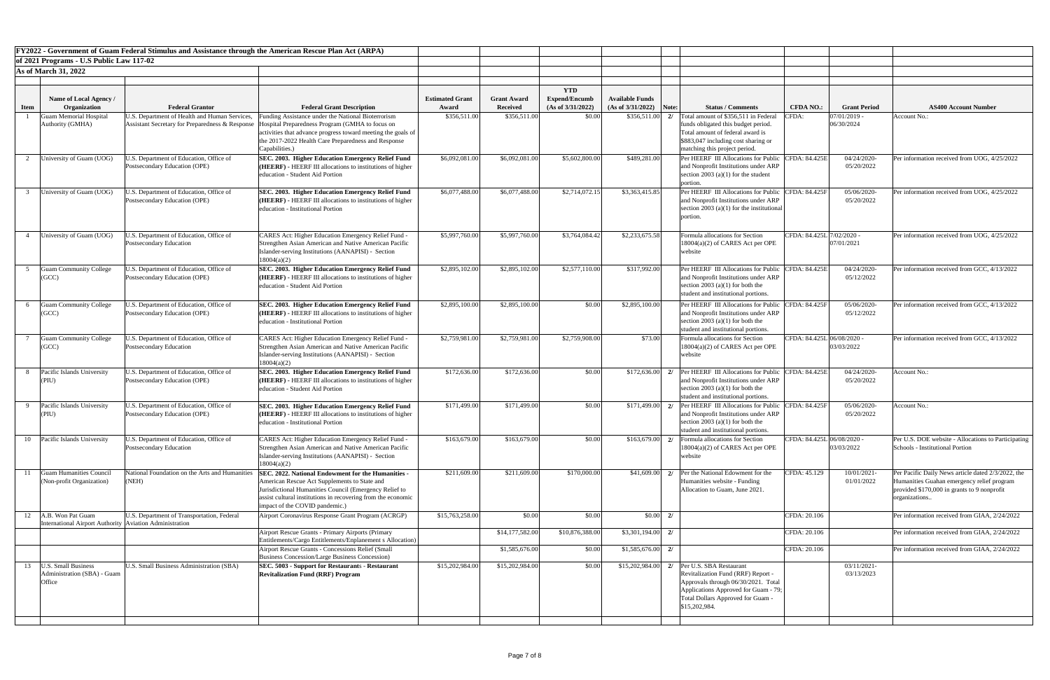|             |                                                                                | <b>FY2022 - Government of Guam Federal Stimulus and Assistance through the American Rescue Plan Act (ARPA)</b> |                                                                                                                                                                                                                                                                |                        |                    |                                    |                        |                                                                                                                                                                                                                        |                            |                            |                                                                                                                                                                 |
|-------------|--------------------------------------------------------------------------------|----------------------------------------------------------------------------------------------------------------|----------------------------------------------------------------------------------------------------------------------------------------------------------------------------------------------------------------------------------------------------------------|------------------------|--------------------|------------------------------------|------------------------|------------------------------------------------------------------------------------------------------------------------------------------------------------------------------------------------------------------------|----------------------------|----------------------------|-----------------------------------------------------------------------------------------------------------------------------------------------------------------|
|             | of 2021 Programs - U.S Public Law 117-02                                       |                                                                                                                |                                                                                                                                                                                                                                                                |                        |                    |                                    |                        |                                                                                                                                                                                                                        |                            |                            |                                                                                                                                                                 |
|             | <b>As of March 31, 2022</b>                                                    |                                                                                                                |                                                                                                                                                                                                                                                                |                        |                    |                                    |                        |                                                                                                                                                                                                                        |                            |                            |                                                                                                                                                                 |
|             |                                                                                |                                                                                                                |                                                                                                                                                                                                                                                                |                        |                    |                                    |                        |                                                                                                                                                                                                                        |                            |                            |                                                                                                                                                                 |
|             | Name of Local Agency /                                                         |                                                                                                                |                                                                                                                                                                                                                                                                | <b>Estimated Grant</b> | <b>Grant Award</b> | <b>YTD</b><br><b>Expend/Encumb</b> | <b>Available Funds</b> |                                                                                                                                                                                                                        |                            |                            |                                                                                                                                                                 |
| <b>Item</b> | Organization                                                                   | <b>Federal Grantor</b>                                                                                         | <b>Federal Grant Description</b>                                                                                                                                                                                                                               | Award                  | Received           | (As of 3/31/2022)                  | (As of 3/31/2022)      | <b>Status / Comments</b><br>Note:                                                                                                                                                                                      | <b>CFDA NO.:</b>           | <b>Grant Period</b>        | <b>AS400 Account Number</b>                                                                                                                                     |
|             | <b>Guam Memorial Hospital</b><br>Authority (GMHA)                              | J.S. Department of Health and Human Services,<br>Assistant Secretary for Preparedness & Response               | unding Assistance under the National Bioterrorism<br>Hospital Preparedness Program (GMHA to focus on<br>activities that advance progress toward meeting the goals of<br>the 2017-2022 Health Care Preparedness and Response<br>Capabilities.)                  | \$356,511.00           | \$356,511.00       | \$0.00                             | \$356,511.00           | Total amount of \$356,511 in Federal<br>funds obligated this budget period.<br>Total amount of federal award is<br>\$883,047 including cost sharing or<br>matching this project period.                                | CFDA:                      | 07/01/2019 -<br>06/30/2024 | Account No.:                                                                                                                                                    |
|             | University of Guam (UOG)                                                       | J.S. Department of Education, Office of<br>Postsecondary Education (OPE)                                       | SEC. 2003. Higher Education Emergency Relief Fund<br>(HEERF) - HEERF III allocations to institutions of higher<br>education - Student Aid Portion                                                                                                              | \$6,092,081.00         | \$6,092,081.00     | \$5,602,800.00                     | \$489,281.00           | Per HEERF III Allocations for Public<br>and Nonprofit Institutions under ARP<br>section 2003 (a)(1) for the student<br>portion.                                                                                        | <b>CFDA: 84.425E</b>       | 04/24/2020<br>05/20/2022   | Per information received from UOG, 4/25/2022                                                                                                                    |
|             | University of Guam (UOG)                                                       | J.S. Department of Education, Office of<br>Postsecondary Education (OPE)                                       | SEC. 2003. Higher Education Emergency Relief Fund<br>( <b>HEERF</b> ) - HEERF III allocations to institutions of higher<br>education - Institutional Portion                                                                                                   | \$6,077,488.00         | \$6,077,488.00     | \$2,714,072.15                     | \$3,363,415.85         | Per HEERF III Allocations for Public<br>and Nonprofit Institutions under ARP<br>section 2003 (a)(1) for the institutional<br>portion                                                                                   | CFDA: 84.425F              | 05/06/2020<br>05/20/2022   | Per information received from UOG, 4/25/2022                                                                                                                    |
|             | University of Guam (UOG)                                                       | J.S. Department of Education, Office of<br>Postsecondary Education                                             | CARES Act: Higher Education Emergency Relief Fund -<br>Strengthen Asian American and Native American Pacific<br>Islander-serving Institutions (AANAPISI) - Section<br>18004(a)(2)                                                                              | \$5,997,760.00         | \$5,997,760.00     | \$3,764,084.42                     | \$2,233,675.58         | Formula allocations for Section<br>18004(a)(2) of CARES Act per OPE<br>website                                                                                                                                         | CFDA: 84.425L 7/02/2020 -  | 07/01/2021                 | Per information received from UOG, 4/25/2022                                                                                                                    |
|             | <b>Guam Community College</b><br>(GCC)                                         | J.S. Department of Education, Office of<br>Postsecondary Education (OPE)                                       | SEC. 2003. Higher Education Emergency Relief Fund<br>( <b>HEERF</b> ) - HEERF III allocations to institutions of higher<br>education - Student Aid Portion                                                                                                     | \$2,895,102.00         | \$2,895,102.00     | \$2,577,110.00                     | \$317,992.00           | Per HEERF III Allocations for Public CFDA: 84.425E<br>and Nonprofit Institutions under ARP<br>section 2003 (a)(1) for both the<br>student and institutional portions.                                                  |                            | 04/24/2020<br>05/12/2022   | Per information received from GCC, 4/13/2022                                                                                                                    |
|             | <b>Guam Community College</b><br>(GCC)                                         | J.S. Department of Education, Office of<br>Postsecondary Education (OPE)                                       | <b>SEC. 2003. Higher Education Emergency Relief Fund</b><br>(HEERF) - HEERF III allocations to institutions of higher<br>education - Institutional Portion                                                                                                     | \$2,895,100.00         | \$2,895,100.00     | \$0.00                             | \$2,895,100.00         | Per HEERF III Allocations for Public<br>and Nonprofit Institutions under ARP<br>section 2003 (a)(1) for both the<br>student and institutional portions.                                                                | CFDA: 84.425F              | 05/06/2020<br>05/12/2022   | Per information received from GCC, 4/13/2022                                                                                                                    |
|             | <b>Guam Community College</b><br>(GCC)                                         | J.S. Department of Education, Office of<br><b>Postsecondary Education</b>                                      | <b>CARES Act: Higher Education Emergency Relief Fund -</b><br>Strengthen Asian American and Native American Pacific<br>Islander-serving Institutions (AANAPISI) - Section<br>18004(a)(2)                                                                       | \$2,759,981.00         | \$2,759,981.00     | \$2,759,908.00                     | \$73.00                | Formula allocations for Section<br>18004(a)(2) of CARES Act per OPE<br>website                                                                                                                                         | CFDA: 84.425L 06/08/2020 - | 03/03/2022                 | Per information received from GCC, 4/13/2022                                                                                                                    |
|             | Pacific Islands University<br>(PIU)                                            | J.S. Department of Education, Office of<br>Postsecondary Education (OPE)                                       | SEC. 2003. Higher Education Emergency Relief Fund<br>$HEERF$ ) - HEERF III allocations to institutions of higher<br>education - Student Aid Portion                                                                                                            | \$172,636.00           | \$172,636.00       | \$0.00                             | \$172,636.00           | Per HEERF III Allocations for Public<br>2l<br>and Nonprofit Institutions under ARP<br>section 2003 (a)(1) for both the<br>student and institutional portions.                                                          | CFDA: 84.425E              | 04/24/2020<br>05/20/2022   | <b>Account No.:</b>                                                                                                                                             |
|             | Pacific Islands University<br>(PIU)                                            | J.S. Department of Education, Office of<br>Postsecondary Education (OPE)                                       | <b>SEC. 2003. Higher Education Emergency Relief Fund</b><br>(HEERF) - HEERF III allocations to institutions of higher<br>education - Institutional Portion                                                                                                     | \$171,499.00           | \$171,499.00       | \$0.00                             | \$171,499.00           | Per HEERF III Allocations for Public<br>and Nonprofit Institutions under ARP<br>section 2003 (a)(1) for both the<br>student and institutional portions.                                                                | <b>CFDA: 84.425F</b>       | 05/06/2020<br>05/20/2022   | Account No.:                                                                                                                                                    |
|             | 10 Pacific Islands University                                                  | J.S. Department of Education, Office of<br><b>Postsecondary Education</b>                                      | <b>CARES Act: Higher Education Emergency Relief Fund -</b><br>Strengthen Asian American and Native American Pacific<br>Islander-serving Institutions (AANAPISI) - Section<br>18004(a)(2)                                                                       | \$163,679.00           | \$163,679.00       | \$0.00                             | $$163,679.00$ 2/       | Formula allocations for Section<br>18004(a)(2) of CARES Act per OPE<br>website                                                                                                                                         | CFDA: 84.425L 06/08/2020 - | 03/03/2022                 | Per U.S. DOE website - Allocations to Participat<br><b>Schools - Institutional Portion</b>                                                                      |
|             | <b>Guam Humanities Council</b><br>(Non-profit Organization)                    | National Foundation on the Arts and Humanities<br>(NEH)                                                        | SEC. 2022. National Endowment for the Humanities -<br>American Rescue Act Supplements to State and<br>Jurisdictional Humanities Council (Emergency Relief to<br>assist cultural institutions in recovering from the economic<br>impact of the COVID pandemic.) | \$211,609.00           | \$211,609.00       | \$170,000.00                       | \$41,609.00            | Per the National Edowment for the<br>2l<br>Humanities website - Funding<br>Allocation to Guam, June 2021.                                                                                                              | CFDA: 45.129               | 10/01/2021<br>01/01/2022   | Per Pacific Daily News article dated 2/3/2022, th<br>Humanities Guahan emergency relief program<br>provided \$170,000 in grants to 9 nonprofit<br>organizations |
| 12          | A.B. Won Pat Guam<br>International Airport Authority   Aviation Administration | U.S. Department of Transportation, Federal                                                                     | <b>Airport Coronavirus Response Grant Program (ACRGP)</b>                                                                                                                                                                                                      | \$15,763,258.00        | \$0.00             | \$0.00                             | \$0.00                 | $\frac{2}{l}$                                                                                                                                                                                                          | CFDA: 20.106               |                            | Per information received from GIAA, 2/24/2022                                                                                                                   |
|             |                                                                                |                                                                                                                | Airport Rescue Grants - Primary Airports (Primary<br>Entitlements/Cargo Entitlements/Enplanement s Allocation)                                                                                                                                                 |                        | \$14,177,582.00    | \$10,876,388.00                    | $$3,301,194.00$ 2/     |                                                                                                                                                                                                                        | CFDA: 20.106               |                            | Per information received from GIAA, 2/24/2022                                                                                                                   |
|             |                                                                                |                                                                                                                | Airport Rescue Grants - Concessions Relief (Small<br>Business Concession/Large Business Concession)                                                                                                                                                            |                        | \$1,585,676.00     | \$0.00                             | $$1,585,676.00$ 2/     |                                                                                                                                                                                                                        | CFDA: 20.106               |                            | Per information received from GIAA, 2/24/2022                                                                                                                   |
| 13          | <b>U.S. Small Business</b><br>Administration (SBA) - Guam<br>Office            | <b>U.S. Small Business Administration (SBA)</b>                                                                | <b>SEC. 5003 - Support for Restaurants - Restaurant</b><br><b>Revitalization Fund (RRF) Program</b>                                                                                                                                                            | \$15,202,984.00        | \$15,202,984.00    | \$0.00                             |                        | $$15,202,984.00$ 2/ Per U.S. SBA Restaurant<br>Revitalization Fund (RRF) Report -<br>Approvals through 06/30/2021. Total<br>Applications Approved for Guam - 79;<br>Total Dollars Approved for Guam -<br>\$15,202,984. |                            | 03/11/2021-<br>03/13/2023  |                                                                                                                                                                 |
|             |                                                                                |                                                                                                                |                                                                                                                                                                                                                                                                |                        |                    |                                    |                        |                                                                                                                                                                                                                        |                            |                            |                                                                                                                                                                 |